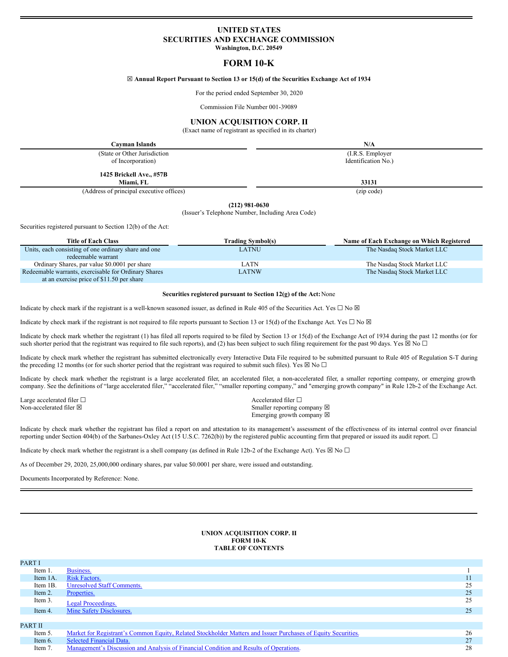# **UNITED STATES SECURITIES AND EXCHANGE COMMISSION Washington, D.C. 20549**

# **FORM 10-K**

## ☒ **Annual Report Pursuant to Section 13 or 15(d) of the Securities Exchange Act of 1934**

For the period ended September 30, 2020

Commission File Number 001-39089

# **UNION ACQUISITION CORP. II**

(Exact name of registrant as specified in its charter)

**Cayman Islands N/A** (State or Other Jurisdiction (I.R.S. Employer of Incorporation) Identification No.) **1425 Brickell Ave., #57B Miami, FL 33131**

(Address of principal executive offices) (zip code)

**(212) 981-0630**

(Issuer's Telephone Number, Including Area Code)

Securities registered pursuant to Section 12(b) of the Act:

| <b>Title of Each Class</b>                           | <b>Trading Symbol(s)</b> | Name of Each Exchange on Which Registered |
|------------------------------------------------------|--------------------------|-------------------------------------------|
| Units, each consisting of one ordinary share and one | LATNU                    | The Nasdaq Stock Market LLC               |
| redeemable warrant                                   |                          |                                           |
| Ordinary Shares, par value \$0.0001 per share        | LATN                     | The Nasdaq Stock Market LLC               |
| Redeemable warrants, exercisable for Ordinary Shares | LATNW                    | The Nasdaq Stock Market LLC               |
| at an exercise price of \$11.50 per share            |                          |                                           |

#### **Securities registered pursuant to Section 12(g) of the Act:**None

Indicate by check mark if the registrant is a well-known seasoned issuer, as defined in Rule 405 of the Securities Act. Yes  $\Box$  No  $\boxtimes$ 

Indicate by check mark if the registrant is not required to file reports pursuant to Section 13 or 15(d) of the Exchange Act. Yes  $\Box$  No  $\boxtimes$ 

Indicate by check mark whether the registrant (1) has filed all reports required to be filed by Section 13 or 15(d) of the Exchange Act of 1934 during the past 12 months (or for such shorter period that the registrant was required to file such reports), and (2) has been subject to such filing requirement for the past 90 days. Yes  $\boxtimes$  No  $\Box$ 

Indicate by check mark whether the registrant has submitted electronically every Interactive Data File required to be submitted pursuant to Rule 405 of Regulation S-T during the preceding 12 months (or for such shorter period that the registrant was required to submit such files). Yes  $\boxtimes$  No  $\Box$ 

Indicate by check mark whether the registrant is a large accelerated filer, an accelerated filer, a non-accelerated filer, a smaller reporting company, or emerging growth company. See the definitions of "large accelerated filer," "accelerated filer," "smaller reporting company," and "emerging growth company" in Rule 12b-2 of the Exchange Act.

Large accelerated filer □ and a set of a set of a set of a set of a set of a set of a set of a set of a set of a set of a set of a set of a set of a set of a set of a set of a set of a set of a set of a set of a set of a

Non-accelerated filer ⊠ Smaller reporting company ⊠ Emerging growth company  $\boxtimes$ 

Indicate by check mark whether the registrant has filed a report on and attestation to its management's assessment of the effectiveness of its internal control over financial reporting under Section 404(b) of the Sarbanes-Oxley Act (15 U.S.C. 7262(b)) by the registered public accounting firm that prepared or issued its audit report. ☐

Indicate by check mark whether the registrant is a shell company (as defined in Rule 12b-2 of the Exchange Act). Yes  $\boxtimes$  No  $\Box$ 

As of December 29, 2020, 25,000,000 ordinary shares, par value \$0.0001 per share, were issued and outstanding.

Documents Incorporated by Reference: None.

## **UNION ACQUISITION CORP. II FORM 10-K TABLE OF CONTENTS**

| PART I         |                                                                                                               |    |
|----------------|---------------------------------------------------------------------------------------------------------------|----|
| Item 1.        | Business.                                                                                                     |    |
| Item 1A.       | <b>Risk Factors.</b>                                                                                          |    |
| Item 1B.       | <b>Unresolved Staff Comments.</b>                                                                             | 25 |
| Item 2.        | Properties.                                                                                                   | 25 |
| Item 3.        | Legal Proceedings.                                                                                            | 25 |
| Item 4.        | Mine Safety Disclosures.                                                                                      | 25 |
|                |                                                                                                               |    |
| <b>PART II</b> |                                                                                                               |    |
| Item 5.        | Market for Registrant's Common Equity, Related Stockholder Matters and Issuer Purchases of Equity Securities. | 26 |
| Item 6.        | <b>Selected Financial Data.</b>                                                                               | 27 |
| Item 7.        | Management's Discussion and Analysis of Financial Condition and Results of Operations.                        | 28 |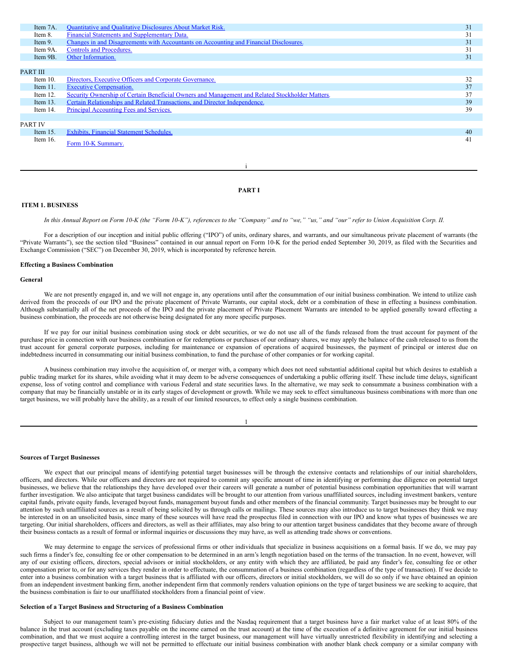| Item 7A.       | <b>Quantitative and Qualitative Disclosures About Market Risk.</b>                              | 31 |
|----------------|-------------------------------------------------------------------------------------------------|----|
| Item 8.        | Financial Statements and Supplementary Data.                                                    | 31 |
| Item 9.        | Changes in and Disagreements with Accountants on Accounting and Financial Disclosures.          | 31 |
| Item 9A.       | Controls and Procedures.                                                                        | 31 |
| Item 9B.       | Other Information.                                                                              | 31 |
|                |                                                                                                 |    |
| PART III       |                                                                                                 |    |
| Item $10$ .    | Directors, Executive Officers and Corporate Governance.                                         | 32 |
| Item $11.$     | <b>Executive Compensation.</b>                                                                  | 37 |
| Item $12$ .    | Security Ownership of Certain Beneficial Owners and Management and Related Stockholder Matters. | 37 |
| Item $13$ .    | Certain Relationships and Related Transactions, and Director Independence.                      | 39 |
| Item 14.       | Principal Accounting Fees and Services.                                                         | 39 |
|                |                                                                                                 |    |
| <b>PART IV</b> |                                                                                                 |    |
| Item $15$ .    | Exhibits, Financial Statement Schedules.                                                        | 40 |
| Item $16$ .    |                                                                                                 | 41 |
|                | Form 10-K Summary.                                                                              |    |
|                |                                                                                                 |    |

#### **PART I**

i

# <span id="page-1-0"></span>**ITEM 1. BUSINESS**

In this Annual Report on Form 10-K (the "Form 10-K"), references to the "Company" and to "we," "us," and "our" refer to Union Acquisition Corp. II.

For a description of our inception and initial public offering ("IPO") of units, ordinary shares, and warrants, and our simultaneous private placement of warrants (the "Private Warrants"), see the section tiled "Business" contained in our annual report on Form 10-K for the period ended September 30, 2019, as filed with the Securities and Exchange Commission ("SEC") on December 30, 2019, which is incorporated by reference herein.

## **Effecting a Business Combination**

#### **General**

We are not presently engaged in, and we will not engage in, any operations until after the consummation of our initial business combination. We intend to utilize cash derived from the proceeds of our IPO and the private placement of Private Warrants, our capital stock, debt or a combination of these in effecting a business combination. Although substantially all of the net proceeds of the IPO and the private placement of Private Placement Warrants are intended to be applied generally toward effecting a business combination, the proceeds are not otherwise being designated for any more specific purposes.

If we pay for our initial business combination using stock or debt securities, or we do not use all of the funds released from the trust account for payment of the purchase price in connection with our business combination or for redemptions or purchases of our ordinary shares, we may apply the balance of the cash released to us from the trust account for general corporate purposes, including for maintenance or expansion of operations of acquired businesses, the payment of principal or interest due on indebtedness incurred in consummating our initial business combination, to fund the purchase of other companies or for working capital.

A business combination may involve the acquisition of, or merger with, a company which does not need substantial additional capital but which desires to establish a public trading market for its shares, while avoiding what it may deem to be adverse consequences of undertaking a public offering itself. These include time delays, significant expense, loss of voting control and compliance with various Federal and state securities laws. In the alternative, we may seek to consummate a business combination with a company that may be financially unstable or in its early stages of development or growth. While we may seek to effect simultaneous business combinations with more than one target business, we will probably have the ability, as a result of our limited resources, to effect only a single business combination.

## **Sources of Target Businesses**

We expect that our principal means of identifying potential target businesses will be through the extensive contacts and relationships of our initial shareholders, officers, and directors. While our officers and directors are not required to commit any specific amount of time in identifying or performing due diligence on potential target businesses, we believe that the relationships they have developed over their careers will generate a number of potential business combination opportunities that will warrant further investigation. We also anticipate that target business candidates will be brought to our attention from various unaffiliated sources, including investment bankers, venture capital funds, private equity funds, leveraged buyout funds, management buyout funds and other members of the financial community. Target businesses may be brought to our attention by such unaffiliated sources as a result of being solicited by us through calls or mailings. These sources may also introduce us to target businesses they think we may be interested in on an unsolicited basis, since many of these sources will have read the prospectus filed in connection with our IPO and know what types of businesses we are targeting. Our initial shareholders, officers and directors, as well as their affiliates, may also bring to our attention target business candidates that they become aware of through their business contacts as a result of formal or informal inquiries or discussions they may have, as well as attending trade shows or conventions.

We may determine to engage the services of professional firms or other individuals that specialize in business acquisitions on a formal basis. If we do, we may pay such firms a finder's fee, consulting fee or other compensation to be determined in an arm's length negotiation based on the terms of the transaction. In no event, however, will any of our existing officers, directors, special advisors or initial stockholders, or any entity with which they are affiliated, be paid any finder's fee, consulting fee or other compensation prior to, or for any services they render in order to effectuate, the consummation of a business combination (regardless of the type of transaction). If we decide to enter into a business combination with a target business that is affiliated with our officers, directors or initial stockholders, we will do so only if we have obtained an opinion from an independent investment banking firm, another independent firm that commonly renders valuation opinions on the type of target business we are seeking to acquire, that the business combination is fair to our unaffiliated stockholders from a financial point of view.

# **Selection of a Target Business and Structuring of a Business Combination**

Subject to our management team's pre-existing fiduciary duties and the Nasdaq requirement that a target business have a fair market value of at least 80% of the balance in the trust account (excluding taxes payable on the income earned on the trust account) at the time of the execution of a definitive agreement for our initial business combination, and that we must acquire a controlling interest in the target business, our management will have virtually unrestricted flexibility in identifying and selecting a prospective target business, although we will not be permitted to effectuate our initial business combination with another blank check company or a similar company with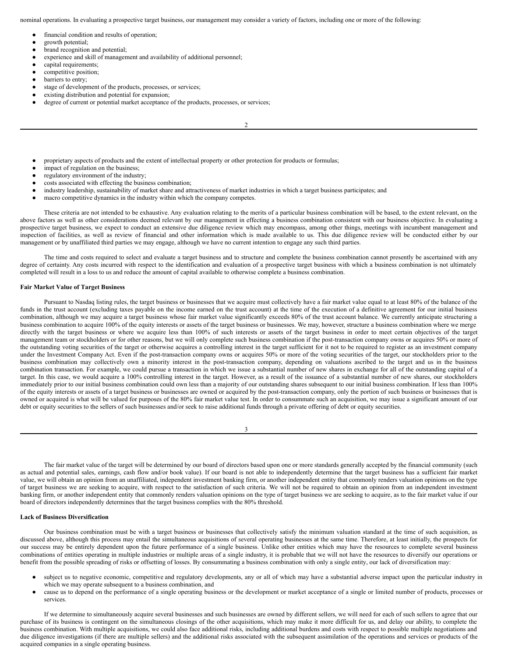nominal operations. In evaluating a prospective target business, our management may consider a variety of factors, including one or more of the following:

- financial condition and results of operation;
- growth potential;
- brand recognition and potential;
- experience and skill of management and availability of additional personnel;
- capital requirements;
- competitive position;
- barriers to entry;
- stage of development of the products, processes, or services;
- existing distribution and potential for expansion;
- degree of current or potential market acceptance of the products, processes, or services;

2

- proprietary aspects of products and the extent of intellectual property or other protection for products or formulas;
- impact of regulation on the business;
- regulatory environment of the industry;
- costs associated with effecting the business combination;
- industry leadership, sustainability of market share and attractiveness of market industries in which a target business participates; and
- macro competitive dynamics in the industry within which the company competes.

These criteria are not intended to be exhaustive. Any evaluation relating to the merits of a particular business combination will be based, to the extent relevant, on the above factors as well as other considerations deemed relevant by our management in effecting a business combination consistent with our business objective. In evaluating a prospective target business, we expect to conduct an extensive due diligence review which may encompass, among other things, meetings with incumbent management and inspection of facilities, as well as review of financial and other information which is made available to us. This due diligence review will be conducted either by our management or by unaffiliated third parties we may engage, although we have no current intention to engage any such third parties.

The time and costs required to select and evaluate a target business and to structure and complete the business combination cannot presently be ascertained with any degree of certainty. Any costs incurred with respect to the identification and evaluation of a prospective target business with which a business combination is not ultimately completed will result in a loss to us and reduce the amount of capital available to otherwise complete a business combination.

## **Fair Market Value of Target Business**

Pursuant to Nasdaq listing rules, the target business or businesses that we acquire must collectively have a fair market value equal to at least 80% of the balance of the funds in the trust account (excluding taxes payable on the income earned on the trust account) at the time of the execution of a definitive agreement for our initial business combination, although we may acquire a target business whose fair market value significantly exceeds 80% of the trust account balance. We currently anticipate structuring a business combination to acquire 100% of the equity interests or assets of the target business or businesses. We may, however, structure a business combination where we merge directly with the target business or where we acquire less than 100% of such interests or assets of the target business in order to meet certain objectives of the target management team or stockholders or for other reasons, but we will only complete such business combination if the post-transaction company owns or acquires 50% or more of the outstanding voting securities of the target or otherwise acquires a controlling interest in the target sufficient for it not to be required to register as an investment company under the Investment Company Act. Even if the post-transaction company owns or acquires 50% or more of the voting securities of the target, our stockholders prior to the business combination may collectively own a minority interest in the post-transaction company, depending on valuations ascribed to the target and us in the business combination transaction. For example, we could pursue a transaction in which we issue a substantial number of new shares in exchange for all of the outstanding capital of a target. In this case, we would acquire a 100% controlling interest in the target. However, as a result of the issuance of a substantial number of new shares, our stockholders immediately prior to our initial business combination could own less than a majority of our outstanding shares subsequent to our initial business combination. If less than 100% of the equity interests or assets of a target business or businesses are owned or acquired by the post-transaction company, only the portion of such business or businesses that is owned or acquired is what will be valued for purposes of the 80% fair market value test. In order to consummate such an acquisition, we may issue a significant amount of our debt or equity securities to the sellers of such businesses and/or seek to raise additional funds through a private offering of debt or equity securities.

|   | ۰,<br>I |  |  |
|---|---------|--|--|
| v |         |  |  |
|   |         |  |  |

The fair market value of the target will be determined by our board of directors based upon one or more standards generally accepted by the financial community (such as actual and potential sales, earnings, cash flow and/or book value). If our board is not able to independently determine that the target business has a sufficient fair market value, we will obtain an opinion from an unaffiliated, independent investment banking firm, or another independent entity that commonly renders valuation opinions on the type of target business we are seeking to acquire, with respect to the satisfaction of such criteria. We will not be required to obtain an opinion from an independent investment banking firm, or another independent entity that commonly renders valuation opinions on the type of target business we are seeking to acquire, as to the fair market value if our board of directors independently determines that the target business complies with the 80% threshold.

#### **Lack of Business Diversification**

Our business combination must be with a target business or businesses that collectively satisfy the minimum valuation standard at the time of such acquisition, as discussed above, although this process may entail the simultaneous acquisitions of several operating businesses at the same time. Therefore, at least initially, the prospects for our success may be entirely dependent upon the future performance of a single business. Unlike other entities which may have the resources to complete several business combinations of entities operating in multiple industries or multiple areas of a single industry, it is probable that we will not have the resources to diversify our operations or benefit from the possible spreading of risks or offsetting of losses. By consummating a business combination with only a single entity, our lack of diversification may:

- subject us to negative economic, competitive and regulatory developments, any or all of which may have a substantial adverse impact upon the particular industry in which we may operate subsequent to a business combination, and
- cause us to depend on the performance of a single operating business or the development or market acceptance of a single or limited number of products, processes or services.

If we determine to simultaneously acquire several businesses and such businesses are owned by different sellers, we will need for each of such sellers to agree that our purchase of its business is contingent on the simultaneous closings of the other acquisitions, which may make it more difficult for us, and delay our ability, to complete the business combination. With multiple acquisitions, we could also face additional risks, including additional burdens and costs with respect to possible multiple negotiations and due diligence investigations (if there are multiple sellers) and the additional risks associated with the subsequent assimilation of the operations and services or products of the acquired companies in a single operating business.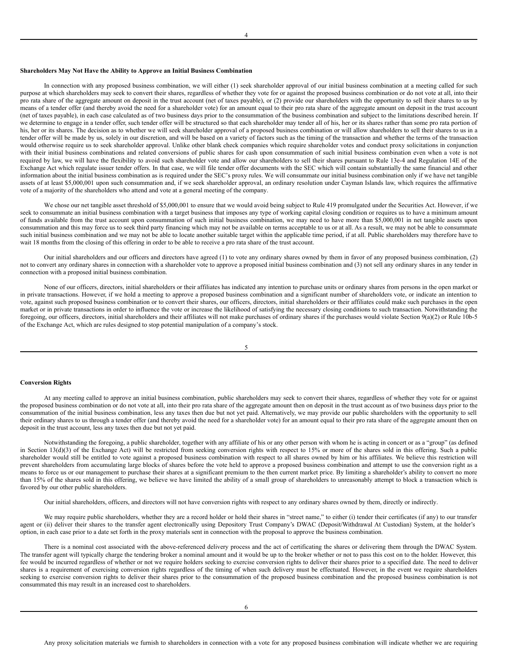#### 4

#### **Shareholders May Not Have the Ability to Approve an Initial Business Combination**

In connection with any proposed business combination, we will either (1) seek shareholder approval of our initial business combination at a meeting called for such purpose at which shareholders may seek to convert their shares, regardless of whether they vote for or against the proposed business combination or do not vote at all, into their pro rata share of the aggregate amount on deposit in the trust account (net of taxes payable), or (2) provide our shareholders with the opportunity to sell their shares to us by means of a tender offer (and thereby avoid the need for a shareholder vote) for an amount equal to their pro rata share of the aggregate amount on deposit in the trust account (net of taxes payable), in each case calculated as of two business days prior to the consummation of the business combination and subject to the limitations described herein. If we determine to engage in a tender offer, such tender offer will be structured so that each shareholder may tender all of his, her or its shares rather than some pro rata portion of his, her or its shares. The decision as to whether we will seek shareholder approval of a proposed business combination or will allow shareholders to sell their shares to us in a tender offer will be made by us, solely in our discretion, and will be based on a variety of factors such as the timing of the transaction and whether the terms of the transaction would otherwise require us to seek shareholder approval. Unlike other blank check companies which require shareholder votes and conduct proxy solicitations in conjunction with their initial business combinations and related conversions of public shares for cash upon consummation of such initial business combination even when a vote is not required by law, we will have the flexibility to avoid such shareholder vote and allow our shareholders to sell their shares pursuant to Rule 13e-4 and Regulation 14E of the Exchange Act which regulate issuer tender offers. In that case, we will file tender offer documents with the SEC which will contain substantially the same financial and other information about the initial business combination as is required under the SEC's proxy rules. We will consummate our initial business combination only if we have net tangible assets of at least \$5,000,001 upon such consummation and, if we seek shareholder approval, an ordinary resolution under Cayman Islands law, which requires the affirmative vote of a majority of the shareholders who attend and vote at a general meeting of the company.

We chose our net tangible asset threshold of \$5,000,001 to ensure that we would avoid being subject to Rule 419 promulgated under the Securities Act. However, if we seek to consummate an initial business combination with a target business that imposes any type of working capital closing condition or requires us to have a minimum amount of funds available from the trust account upon consummation of such initial business combination, we may need to have more than \$5,000,001 in net tangible assets upon consummation and this may force us to seek third party financing which may not be available on terms acceptable to us or at all. As a result, we may not be able to consummate such initial business combination and we may not be able to locate another suitable target within the applicable time period, if at all. Public shareholders may therefore have to wait 18 months from the closing of this offering in order to be able to receive a pro rata share of the trust account.

Our initial shareholders and our officers and directors have agreed (1) to vote any ordinary shares owned by them in favor of any proposed business combination, (2) not to convert any ordinary shares in connection with a shareholder vote to approve a proposed initial business combination and (3) not sell any ordinary shares in any tender in connection with a proposed initial business combination.

None of our officers, directors, initial shareholders or their affiliates has indicated any intention to purchase units or ordinary shares from persons in the open market or in private transactions. However, if we hold a meeting to approve a proposed business combination and a significant number of shareholders vote, or indicate an intention to vote, against such proposed business combination or to convert their shares, our officers, directors, initial shareholders or their affiliates could make such purchases in the open market or in private transactions in order to influence the vote or increase the likelihood of satisfying the necessary closing conditions to such transaction. Notwithstanding the foregoing, our officers, directors, initial shareholders and their affiliates will not make purchases of ordinary shares if the purchases would violate Section 9(a)(2) or Rule 10b-5 of the Exchange Act, which are rules designed to stop potential manipulation of a company's stock.

#### 5

#### **Conversion Rights**

At any meeting called to approve an initial business combination, public shareholders may seek to convert their shares, regardless of whether they vote for or against the proposed business combination or do not vote at all, into their pro rata share of the aggregate amount then on deposit in the trust account as of two business days prior to the consummation of the initial business combination, less any taxes then due but not yet paid. Alternatively, we may provide our public shareholders with the opportunity to sell their ordinary shares to us through a tender offer (and thereby avoid the need for a shareholder vote) for an amount equal to their pro rata share of the aggregate amount then on deposit in the trust account, less any taxes then due but not yet paid.

Notwithstanding the foregoing, a public shareholder, together with any affiliate of his or any other person with whom he is acting in concert or as a "group" (as defined in Section 13(d)(3) of the Exchange Act) will be restricted from seeking conversion rights with respect to 15% or more of the shares sold in this offering. Such a public shareholder would still be entitled to vote against a proposed business combination with respect to all shares owned by him or his affiliates. We believe this restriction will prevent shareholders from accumulating large blocks of shares before the vote held to approve a proposed business combination and attempt to use the conversion right as a means to force us or our management to purchase their shares at a significant premium to the then current market price. By limiting a shareholder's ability to convert no more than 15% of the shares sold in this offering, we believe we have limited the ability of a small group of shareholders to unreasonably attempt to block a transaction which is favored by our other public shareholders.

Our initial shareholders, officers, and directors will not have conversion rights with respect to any ordinary shares owned by them, directly or indirectly.

We may require public shareholders, whether they are a record holder or hold their shares in "street name," to either (i) tender their certificates (if any) to our transfer agent or (ii) deliver their shares to the transfer agent electronically using Depository Trust Company's DWAC (Deposit/Withdrawal At Custodian) System, at the holder's option, in each case prior to a date set forth in the proxy materials sent in connection with the proposal to approve the business combination.

There is a nominal cost associated with the above-referenced delivery process and the act of certificating the shares or delivering them through the DWAC System. The transfer agent will typically charge the tendering broker a nominal amount and it would be up to the broker whether or not to pass this cost on to the holder. However, this fee would be incurred regardless of whether or not we require holders seeking to exercise conversion rights to deliver their shares prior to a specified date. The need to deliver shares is a requirement of exercising conversion rights regardless of the timing of when such delivery must be effectuated. However, in the event we require shareholders seeking to exercise conversion rights to deliver their shares prior to the consummation of the proposed business combination and the proposed business combination is not consummated this may result in an increased cost to shareholders.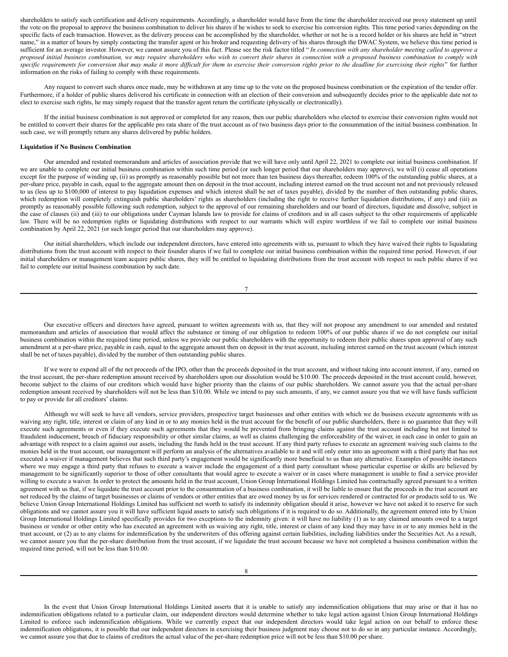shareholders to satisfy such certification and delivery requirements. Accordingly, a shareholder would have from the time the shareholder received our proxy statement up until the vote on the proposal to approve the business combination to deliver his shares if he wishes to seek to exercise his conversion rights. This time period varies depending on the specific facts of each transaction. However, as the delivery process can be accomplished by the shareholder, whether or not he is a record holder or his shares are held in "street name," in a matter of hours by simply contacting the transfer agent or his broker and requesting delivery of his shares through the DWAC System, we believe this time period is sufficient for an average investor. However, we cannot assure you of this fact. Please see the risk factor titled "In connection with any shareholder meeting called to approve a proposed initial business combination, we may require shareholders who wish to convert their shares in connection with a proposed business combination to comply with specific requirements for conversion that may make it more difficult for them to exercise their conversion rights prior to the deadline for exercising their rights" for further information on the risks of failing to comply with these requirements.

Any request to convert such shares once made, may be withdrawn at any time up to the vote on the proposed business combination or the expiration of the tender offer. Furthermore, if a holder of public shares delivered his certificate in connection with an election of their conversion and subsequently decides prior to the applicable date not to elect to exercise such rights, he may simply request that the transfer agent return the certificate (physically or electronically).

If the initial business combination is not approved or completed for any reason, then our public shareholders who elected to exercise their conversion rights would not be entitled to convert their shares for the applicable pro rata share of the trust account as of two business days prior to the consummation of the initial business combination. In such case, we will promptly return any shares delivered by public holders.

## **Liquidation if No Business Combination**

Our amended and restated memorandum and articles of association provide that we will have only until April 22, 2021 to complete our initial business combination. If we are unable to complete our initial business combination within such time period (or such longer period that our shareholders may approve), we will (i) cease all operations except for the purpose of winding up, (ii) as promptly as reasonably possible but not more than ten business days thereafter, redeem 100% of the outstanding public shares, at a per-share price, payable in cash, equal to the aggregate amount then on deposit in the trust account, including interest earned on the trust account not and not previously released to us (less up to \$100,000 of interest to pay liquidation expenses and which interest shall be net of taxes payable), divided by the number of then outstanding public shares, which redemption will completely extinguish public shareholders' rights as shareholders (including the right to receive further liquidation distributions, if any) and (iii) as promptly as reasonably possible following such redemption, subject to the approval of our remaining shareholders and our board of directors, liquidate and dissolve, subject in the case of clauses (ii) and (iii) to our obligations under Cayman Islands law to provide for claims of creditors and in all cases subject to the other requirements of applicable law. There will be no redemption rights or liquidating distributions with respect to our warrants which will expire worthless if we fail to complete our initial business combination by April 22, 2021 (or such longer period that our shareholders may approve).

Our initial shareholders, which include our independent directors, have entered into agreements with us, pursuant to which they have waived their rights to liquidating distributions from the trust account with respect to their founder shares if we fail to complete our initial business combination within the required time period. However, if our initial shareholders or management team acquire public shares, they will be entitled to liquidating distributions from the trust account with respect to such public shares if we fail to complete our initial business combination by such date.

Our executive officers and directors have agreed, pursuant to written agreements with us, that they will not propose any amendment to our amended and restated memorandum and articles of association that would affect the substance or timing of our obligation to redeem 100% of our public shares if we do not complete our initial business combination within the required time period, unless we provide our public shareholders with the opportunity to redeem their public shares upon approval of any such amendment at a per-share price, payable in cash, equal to the aggregate amount then on deposit in the trust account, including interest earned on the trust account (which interest shall be net of taxes payable), divided by the number of then outstanding public shares.

If we were to expend all of the net proceeds of the IPO, other than the proceeds deposited in the trust account, and without taking into account interest, if any, earned on the trust account, the per-share redemption amount received by shareholders upon our dissolution would be \$10.00. The proceeds deposited in the trust account could, however, become subject to the claims of our creditors which would have higher priority than the claims of our public shareholders. We cannot assure you that the actual per-share redemption amount received by shareholders will not be less than \$10.00. While we intend to pay such amounts, if any, we cannot assure you that we will have funds sufficient to pay or provide for all creditors' claims.

Although we will seek to have all vendors, service providers, prospective target businesses and other entities with which we do business execute agreements with us waiving any right, title, interest or claim of any kind in or to any monies held in the trust account for the benefit of our public shareholders, there is no guarantee that they will execute such agreements or even if they execute such agreements that they would be prevented from bringing claims against the trust account including but not limited to fraudulent inducement, breach of fiduciary responsibility or other similar claims, as well as claims challenging the enforceability of the waiver, in each case in order to gain an advantage with respect to a claim against our assets, including the funds held in the trust account. If any third party refuses to execute an agreement waiving such claims to the monies held in the trust account, our management will perform an analysis of the alternatives available to it and will only enter into an agreement with a third party that has not executed a waiver if management believes that such third party's engagement would be significantly more beneficial to us than any alternative. Examples of possible instances where we may engage a third party that refuses to execute a waiver include the engagement of a third party consultant whose particular expertise or skills are believed by management to be significantly superior to those of other consultants that would agree to execute a waiver or in cases where management is unable to find a service provider willing to execute a waiver. In order to protect the amounts held in the trust account, Union Group International Holdings Limited has contractually agreed pursuant to a written agreement with us that, if we liquidate the trust account prior to the consummation of a business combination, it will be liable to ensure that the proceeds in the trust account are not reduced by the claims of target businesses or claims of vendors or other entities that are owed money by us for services rendered or contracted for or products sold to us. We believe Union Group International Holdings Limited has sufficient net worth to satisfy its indemnity obligation should it arise, however we have not asked it to reserve for such obligations and we cannot assure you it will have sufficient liquid assets to satisfy such obligations if it is required to do so. Additionally, the agreement entered into by Union Group International Holdings Limited specifically provides for two exceptions to the indemnity given: it will have no liability (1) as to any claimed amounts owed to a target business or vendor or other entity who has executed an agreement with us waiving any right, title, interest or claim of any kind they may have in or to any monies held in the trust account, or (2) as to any claims for indemnification by the underwriters of this offering against certain liabilities, including liabilities under the Securities Act. As a result, we cannot assure you that the per-share distribution from the trust account, if we liquidate the trust account because we have not completed a business combination within the required time period, will not be less than \$10.00.

In the event that Union Group International Holdings Limited asserts that it is unable to satisfy any indemnification obligations that may arise or that it has no indemnification obligations related to a particular claim, our independent directors would determine whether to take legal action against Union Group International Holdings Limited to enforce such indemnification obligations. While we currently expect that our independent directors would take legal action on our behalf to enforce these indemnification obligations, it is possible that our independent directors in exercising their business judgment may choose not to do so in any particular instance. Accordingly, we cannot assure you that due to claims of creditors the actual value of the per-share redemption price will not be less than \$10.00 per share.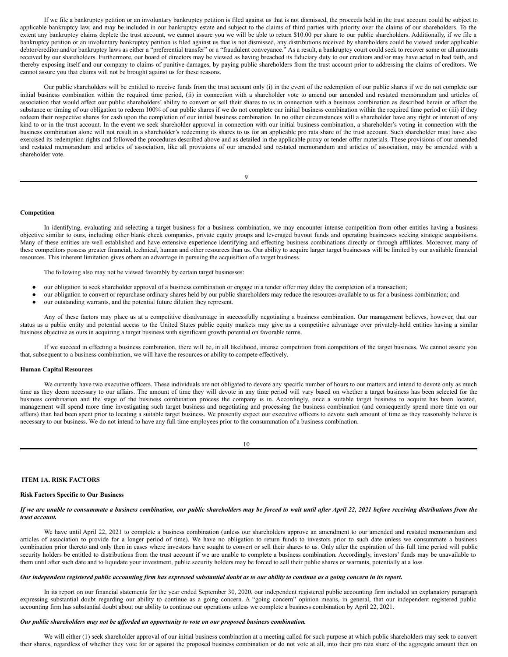If we file a bankruptcy petition or an involuntary bankruptcy petition is filed against us that is not dismissed, the proceeds held in the trust account could be subject to applicable bankruptcy law, and may be included in our bankruptcy estate and subject to the claims of third parties with priority over the claims of our shareholders. To the extent any bankruptcy claims deplete the trust account, we cannot assure you we will be able to return \$10.00 per share to our public shareholders. Additionally, if we file a bankruptcy petition or an involuntary bankruptcy petition is filed against us that is not dismissed, any distributions received by shareholders could be viewed under applicable debtor/creditor and/or bankruptcy laws as either a "preferential transfer" or a "fraudulent conveyance." As a result, a bankruptcy court could seek to recover some or all amounts received by our shareholders. Furthermore, our board of directors may be viewed as having breached its fiduciary duty to our creditors and/or may have acted in bad faith, and thereby exposing itself and our company to claims of punitive damages, by paying public shareholders from the trust account prior to addressing the claims of creditors. We cannot assure you that claims will not be brought against us for these reasons.

Our public shareholders will be entitled to receive funds from the trust account only (i) in the event of the redemption of our public shares if we do not complete our initial business combination within the required time period, (ii) in connection with a shareholder vote to amend our amended and restated memorandum and articles of association that would affect our public shareholders' ability to convert or sell their shares to us in connection with a business combination as described herein or affect the substance or timing of our obligation to redeem 100% of our public shares if we do not complete our initial business combination within the required time period or (iii) if they redeem their respective shares for cash upon the completion of our initial business combination. In no other circumstances will a shareholder have any right or interest of any kind to or in the trust account. In the event we seek shareholder approval in connection with our initial business combination, a shareholder's voting in connection with the business combination alone will not result in a shareholder's redeeming its shares to us for an applicable pro rata share of the trust account. Such shareholder must have also exercised its redemption rights and followed the procedures described above and as detailed in the applicable proxy or tender offer materials. These provisions of our amended and restated memorandum and articles of association, like all provisions of our amended and restated memorandum and articles of association, may be amended with a shareholder vote.

 $\overline{Q}$ 

#### **Competition**

In identifying, evaluating and selecting a target business for a business combination, we may encounter intense competition from other entities having a business objective similar to ours, including other blank check companies, private equity groups and leveraged buyout funds and operating businesses seeking strategic acquisitions. Many of these entities are well established and have extensive experience identifying and effecting business combinations directly or through affiliates. Moreover, many of these competitors possess greater financial, technical, human and other resources than us. Our ability to acquire larger target businesses will be limited by our available financial resources. This inherent limitation gives others an advantage in pursuing the acquisition of a target business.

The following also may not be viewed favorably by certain target businesses:

- our obligation to seek shareholder approval of a business combination or engage in a tender offer may delay the completion of a transaction;
- our obligation to convert or repurchase ordinary shares held by our public shareholders may reduce the resources available to us for a business combination; and
- our outstanding warrants, and the potential future dilution they represent.

Any of these factors may place us at a competitive disadvantage in successfully negotiating a business combination. Our management believes, however, that our status as a public entity and potential access to the United States public equity markets may give us a competitive advantage over privately-held entities having a similar business objective as ours in acquiring a target business with significant growth potential on favorable terms.

If we succeed in effecting a business combination, there will be, in all likelihood, intense competition from competitors of the target business. We cannot assure you that, subsequent to a business combination, we will have the resources or ability to compete effectively.

#### **Human Capital Resources**

We currently have two executive officers. These individuals are not obligated to devote any specific number of hours to our matters and intend to devote only as much time as they deem necessary to our affairs. The amount of time they will devote in any time period will vary based on whether a target business has been selected for the business combination and the stage of the business combination process the company is in. Accordingly, once a suitable target business to acquire has been located, management will spend more time investigating such target business and negotiating and processing the business combination (and consequently spend more time on our affairs) than had been spent prior to locating a suitable target business. We presently expect our executive officers to devote such amount of time as they reasonably believe is necessary to our business. We do not intend to have any full time employees prior to the consummation of a business combination.

| I |  |
|---|--|
|   |  |

## <span id="page-5-0"></span>**ITEM 1A. RISK FACTORS**

## **Risk Factors Specific to Our Business**

## If we are unable to consummate a business combination, our public shareholders may be forced to wait until after April 22, 2021 before receiving distributions from the *trust account.*

We have until April 22, 2021 to complete a business combination (unless our shareholders approve an amendment to our amended and restated memorandum and articles of association to provide for a longer period of time). We have no obligation to return funds to investors prior to such date unless we consummate a business combination prior thereto and only then in cases where investors have sought to convert or sell their shares to us. Only after the expiration of this full time period will public security holders be entitled to distributions from the trust account if we are unable to complete a business combination. Accordingly, investors' funds may be unavailable to them until after such date and to liquidate your investment, public security holders may be forced to sell their public shares or warrants, potentially at a loss.

# Our independent registered public accounting firm has expressed substantial doubt as to our ability to continue as a going concern in its report.

In its report on our financial statements for the year ended September 30, 2020, our independent registered public accounting firm included an explanatory paragraph expressing substantial doubt regarding our ability to continue as a going concern. A "going concern" opinion means, in general, that our independent registered public accounting firm has substantial doubt about our ability to continue our operations unless we complete a business combination by April 22, 2021.

## *Our public shareholders may not be af orded an opportunity to vote on our proposed business combination.*

We will either (1) seek shareholder approval of our initial business combination at a meeting called for such purpose at which public shareholders may seek to convert their shares, regardless of whether they vote for or against the proposed business combination or do not vote at all, into their pro rata share of the aggregate amount then on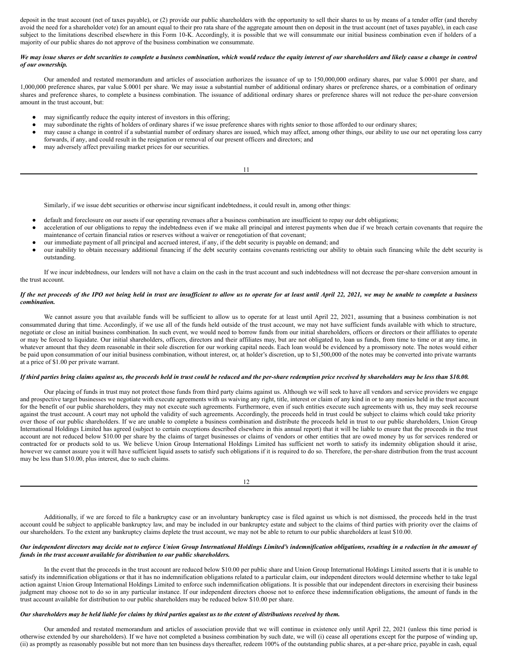deposit in the trust account (net of taxes payable), or (2) provide our public shareholders with the opportunity to sell their shares to us by means of a tender offer (and thereby avoid the need for a shareholder vote) for an amount equal to their pro rata share of the aggregate amount then on deposit in the trust account (net of taxes payable), in each case subject to the limitations described elsewhere in this Form 10-K. Accordingly, it is possible that we will consummate our initial business combination even if holders of a majority of our public shares do not approve of the business combination we consummate.

## We may issue shares or debt securities to complete a business combination, which would reduce the equity interest of our shareholders and likely cause a change in control *of our ownership.*

Our amended and restated memorandum and articles of association authorizes the issuance of up to 150,000,000 ordinary shares, par value \$.0001 per share, and 1,000,000 preference shares, par value \$.0001 per share. We may issue a substantial number of additional ordinary shares or preference shares, or a combination of ordinary shares and preference shares, to complete a business combination. The issuance of additional ordinary shares or preference shares will not reduce the per-share conversion amount in the trust account, but:

- may significantly reduce the equity interest of investors in this offering;
- may subordinate the rights of holders of ordinary shares if we issue preference shares with rights senior to those afforded to our ordinary shares;
- may cause a change in control if a substantial number of ordinary shares are issued, which may affect, among other things, our ability to use our net operating loss carry forwards, if any, and could result in the resignation or removal of our present officers and directors; and

11

may adversely affect prevailing market prices for our securities.

Similarly, if we issue debt securities or otherwise incur significant indebtedness, it could result in, among other things:

- default and foreclosure on our assets if our operating revenues after a business combination are insufficient to repay our debt obligations;
- acceleration of our obligations to repay the indebtedness even if we make all principal and interest payments when due if we breach certain covenants that require the maintenance of certain financial ratios or reserves without a waiver or renegotiation of that covenant;
- our immediate payment of all principal and accrued interest, if any, if the debt security is payable on demand; and
- our inability to obtain necessary additional financing if the debt security contains covenants restricting our ability to obtain such financing while the debt security is outstanding.

If we incur indebtedness, our lenders will not have a claim on the cash in the trust account and such indebtedness will not decrease the per-share conversion amount in the trust account.

#### If the net proceeds of the IPO not being held in trust are insufficient to allow us to operate for at least until April 22, 2021, we may be unable to complete a business *combination.*

We cannot assure you that available funds will be sufficient to allow us to operate for at least until April 22, 2021, assuming that a business combination is not consummated during that time. Accordingly, if we use all of the funds held outside of the trust account, we may not have sufficient funds available with which to structure, negotiate or close an initial business combination. In such event, we would need to borrow funds from our initial shareholders, officers or directors or their affiliates to operate or may be forced to liquidate. Our initial shareholders, officers, directors and their affiliates may, but are not obligated to, loan us funds, from time to time or at any time, in whatever amount that they deem reasonable in their sole discretion for our working capital needs. Each loan would be evidenced by a promissory note. The notes would either be paid upon consummation of our initial business combination, without interest, or, at holder's discretion, up to \$1,500,000 of the notes may be converted into private warrants at a price of \$1.00 per private warrant.

#### If third parties bring claims against us, the proceeds held in trust could be reduced and the per-share redemption price received by shareholders may be less than \$10.00.

Our placing of funds in trust may not protect those funds from third party claims against us. Although we will seek to have all vendors and service providers we engage and prospective target businesses we negotiate with execute agreements with us waiving any right, title, interest or claim of any kind in or to any monies held in the trust account for the benefit of our public shareholders, they may not execute such agreements. Furthermore, even if such entities execute such agreements with us, they may seek recourse against the trust account. A court may not uphold the validity of such agreements. Accordingly, the proceeds held in trust could be subject to claims which could take priority over those of our public shareholders. If we are unable to complete a business combination and distribute the proceeds held in trust to our public shareholders, Union Group International Holdings Limited has agreed (subject to certain exceptions described elsewhere in this annual report) that it will be liable to ensure that the proceeds in the trust account are not reduced below \$10.00 per share by the claims of target businesses or claims of vendors or other entities that are owed money by us for services rendered or contracted for or products sold to us. We believe Union Group International Holdings Limited has sufficient net worth to satisfy its indemnity obligation should it arise, however we cannot assure you it will have sufficient liquid assets to satisfy such obligations if it is required to do so. Therefore, the per-share distribution from the trust account may be less than \$10.00, plus interest, due to such claims.

12

Additionally, if we are forced to file a bankruptcy case or an involuntary bankruptcy case is filed against us which is not dismissed, the proceeds held in the trust account could be subject to applicable bankruptcy law, and may be included in our bankruptcy estate and subject to the claims of third parties with priority over the claims of our shareholders. To the extent any bankruptcy claims deplete the trust account, we may not be able to return to our public shareholders at least \$10.00.

## Our independent directors may decide not to enforce Union Group International Holdings Limited's indemnification obligations, resulting in a reduction in the amount of *funds in the trust account available for distribution to our public shareholders.*

In the event that the proceeds in the trust account are reduced below \$10.00 per public share and Union Group International Holdings Limited asserts that it is unable to satisfy its indemnification obligations or that it has no indemnification obligations related to a particular claim, our independent directors would determine whether to take legal action against Union Group International Holdings Limited to enforce such indemnification obligations. It is possible that our independent directors in exercising their business judgment may choose not to do so in any particular instance. If our independent directors choose not to enforce these indemnification obligations, the amount of funds in the trust account available for distribution to our public shareholders may be reduced below \$10.00 per share.

## Our shareholders may be held liable for claims by third parties against us to the extent of distributions received by them.

Our amended and restated memorandum and articles of association provide that we will continue in existence only until April 22, 2021 (unless this time period is otherwise extended by our shareholders). If we have not completed a business combination by such date, we will (i) cease all operations except for the purpose of winding up, (ii) as promptly as reasonably possible but not more than ten business days thereafter, redeem 100% of the outstanding public shares, at a per-share price, payable in cash, equal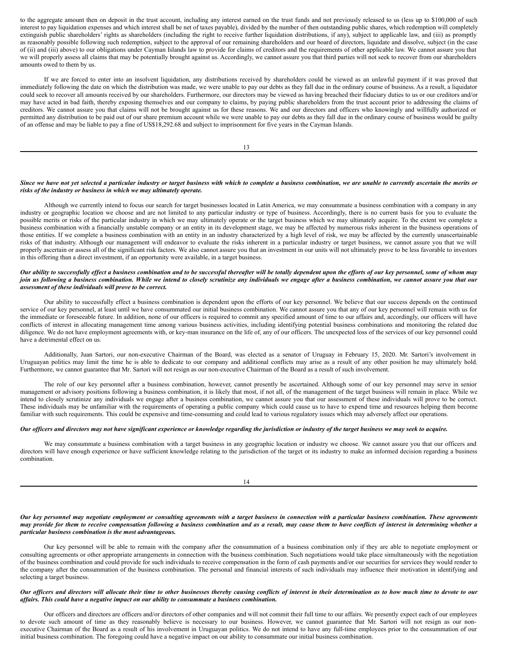to the aggregate amount then on deposit in the trust account, including any interest earned on the trust funds and not previously released to us (less up to \$100,000 of such interest to pay liquidation expenses and which interest shall be net of taxes payable), divided by the number of then outstanding public shares, which redemption will completely extinguish public shareholders' rights as shareholders (including the right to receive further liquidation distributions, if any), subject to applicable law, and (iii) as promptly as reasonably possible following such redemption, subject to the approval of our remaining shareholders and our board of directors, liquidate and dissolve, subject (in the case of (ii) and (iii) above) to our obligations under Cayman Islands law to provide for claims of creditors and the requirements of other applicable law. We cannot assure you that we will properly assess all claims that may be potentially brought against us. Accordingly, we cannot assure you that third parties will not seek to recover from our shareholders amounts owed to them by us.

If we are forced to enter into an insolvent liquidation, any distributions received by shareholders could be viewed as an unlawful payment if it was proved that immediately following the date on which the distribution was made, we were unable to pay our debts as they fall due in the ordinary course of business. As a result, a liquidator could seek to recover all amounts received by our shareholders. Furthermore, our directors may be viewed as having breached their fiduciary duties to us or our creditors and/or may have acted in bad faith, thereby exposing themselves and our company to claims, by paying public shareholders from the trust account prior to addressing the claims of creditors. We cannot assure you that claims will not be brought against us for these reasons. We and our directors and officers who knowingly and willfully authorized or permitted any distribution to be paid out of our share premium account while we were unable to pay our debts as they fall due in the ordinary course of business would be guilty of an offense and may be liable to pay a fine of US\$18,292.68 and subject to imprisonment for five years in the Cayman Islands.

13

## Since we have not yet selected a particular industry or target business with which to complete a business combination, we are unable to currently ascertain the merits or *risks of the industry or business in which we may ultimately operate.*

Although we currently intend to focus our search for target businesses located in Latin America, we may consummate a business combination with a company in any industry or geographic location we choose and are not limited to any particular industry or type of business. Accordingly, there is no current basis for you to evaluate the possible merits or risks of the particular industry in which we may ultimately operate or the target business which we may ultimately acquire. To the extent we complete a business combination with a financially unstable company or an entity in its development stage, we may be affected by numerous risks inherent in the business operations of those entities. If we complete a business combination with an entity in an industry characterized by a high level of risk, we may be affected by the currently unascertainable risks of that industry. Although our management will endeavor to evaluate the risks inherent in a particular industry or target business, we cannot assure you that we will properly ascertain or assess all of the significant risk factors. We also cannot assure you that an investment in our units will not ultimately prove to be less favorable to investors in this offering than a direct investment, if an opportunity were available, in a target business.

## Our ability to successfully effect a business combination and to be successful thereafter will be totally dependent upon the efforts of our key personnel, some of whom may join us following a business combination. While we intend to closely scrutinize any individuals we engage after a business combination, we cannot assure you that our *assessment of these individuals will prove to be correct.*

Our ability to successfully effect a business combination is dependent upon the efforts of our key personnel. We believe that our success depends on the continued service of our key personnel, at least until we have consummated our initial business combination. We cannot assure you that any of our key personnel will remain with us for the immediate or foreseeable future. In addition, none of our officers is required to commit any specified amount of time to our affairs and, accordingly, our officers will have conflicts of interest in allocating management time among various business activities, including identifying potential business combinations and monitoring the related due diligence. We do not have employment agreements with, or key-man insurance on the life of, any of our officers. The unexpected loss of the services of our key personnel could have a detrimental effect on us.

Additionally, Juan Sartori, our non-executive Chairman of the Board, was elected as a senator of Uruguay in February 15, 2020. Mr. Sartori's involvement in Uruguayan politics may limit the time he is able to dedicate to our company and additional conflicts may arise as a result of any other position he may ultimately hold. Furthermore, we cannot guarantee that Mr. Sartori will not resign as our non-executive Chairman of the Board as a result of such involvement.

The role of our key personnel after a business combination, however, cannot presently be ascertained. Although some of our key personnel may serve in senior management or advisory positions following a business combination, it is likely that most, if not all, of the management of the target business will remain in place. While we intend to closely scrutinize any individuals we engage after a business combination, we cannot assure you that our assessment of these individuals will prove to be correct. These individuals may be unfamiliar with the requirements of operating a public company which could cause us to have to expend time and resources helping them become familiar with such requirements. This could be expensive and time-consuming and could lead to various regulatory issues which may adversely affect our operations.

## Our officers and directors may not have significant experience or knowledge regarding the jurisdiction or industry of the target business we may seek to acquire.

We may consummate a business combination with a target business in any geographic location or industry we choose. We cannot assure you that our officers and directors will have enough experience or have sufficient knowledge relating to the jurisdiction of the target or its industry to make an informed decision regarding a business combination.

14

#### Our key personnel may negotiate employment or consulting agreements with a target business in connection with a particular business combination. These agreements may provide for them to receive compensation following a business combination and as a result, may cause them to have conflicts of interest in determining whether a *particular business combination is the most advantageous.*

Our key personnel will be able to remain with the company after the consummation of a business combination only if they are able to negotiate employment or consulting agreements or other appropriate arrangements in connection with the business combination. Such negotiations would take place simultaneously with the negotiation of the business combination and could provide for such individuals to receive compensation in the form of cash payments and/or our securities for services they would render to the company after the consummation of the business combination. The personal and financial interests of such individuals may influence their motivation in identifying and selecting a target business.

## Our officers and directors will allocate their time to other businesses thereby causing conflicts of interest in their determination as to how much time to devote to our *af airs. This could have a negative impact on our ability to consummate a business combination.*

Our officers and directors are officers and/or directors of other companies and will not commit their full time to our affairs. We presently expect each of our employees to devote such amount of time as they reasonably believe is necessary to our business. However, we cannot guarantee that Mr. Sartori will not resign as our nonexecutive Chairman of the Board as a result of his involvement in Uruguayan politics. We do not intend to have any full-time employees prior to the consummation of our initial business combination. The foregoing could have a negative impact on our ability to consummate our initial business combination.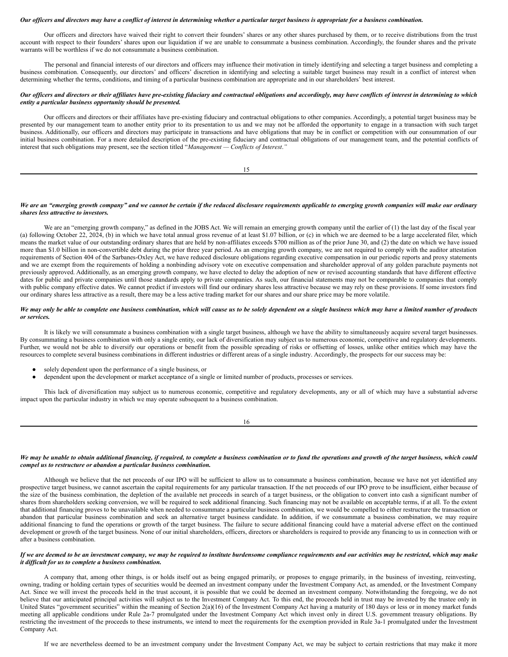#### Our officers and directors may have a conflict of interest in determining whether a particular target business is appropriate for a business combination.

Our officers and directors have waived their right to convert their founders' shares or any other shares purchased by them, or to receive distributions from the trust account with respect to their founders' shares upon our liquidation if we are unable to consummate a business combination. Accordingly, the founder shares and the private warrants will be worthless if we do not consummate a business combination.

The personal and financial interests of our directors and officers may influence their motivation in timely identifying and selecting a target business and completing a business combination. Consequently, our directors' and officers' discretion in identifying and selecting a suitable target business may result in a conflict of interest when determining whether the terms, conditions, and timing of a particular business combination are appropriate and in our shareholders' best interest.

## Our officers and directors or their affiliates have pre-existing fiduciary and contractual obligations and accordingly, may have conflicts of interest in determining to which *entity a particular business opportunity should be presented.*

Our officers and directors or their affiliates have pre-existing fiduciary and contractual obligations to other companies. Accordingly, a potential target business may be presented by our management team to another entity prior to its presentation to us and we may not be afforded the opportunity to engage in a transaction with such target business. Additionally, our officers and directors may participate in transactions and have obligations that may be in conflict or competition with our consummation of our initial business combination. For a more detailed description of the pre-existing fiduciary and contractual obligations of our management team, and the potential conflicts of interest that such obligations may present, see the section titled "*Management — Conflicts of Interest*.*"*

15

## We are an "emerging growth company" and we cannot be certain if the reduced disclosure requirements applicable to emerging growth companies will make our ordinary *shares less attractive to investors.*

We are an "emerging growth company," as defined in the JOBS Act. We will remain an emerging growth company until the earlier of (1) the last day of the fiscal year (a) following October 22, 2024, (b) in which we have total annual gross revenue of at least \$1.07 billion, or (c) in which we are deemed to be a large accelerated filer, which means the market value of our outstanding ordinary shares that are held by non-affiliates exceeds \$700 million as of the prior June 30, and (2) the date on which we have issued more than \$1.0 billion in non-convertible debt during the prior three year period. As an emerging growth company, we are not required to comply with the auditor attestation requirements of Section 404 of the Sarbanes-Oxley Act, we have reduced disclosure obligations regarding executive compensation in our periodic reports and proxy statements and we are exempt from the requirements of holding a nonbinding advisory vote on executive compensation and shareholder approval of any golden parachute payments not previously approved. Additionally, as an emerging growth company, we have elected to delay the adoption of new or revised accounting standards that have different effective dates for public and private companies until those standards apply to private companies. As such, our financial statements may not be comparable to companies that comply with public company effective dates. We cannot predict if investors will find our ordinary shares less attractive because we may rely on these provisions. If some investors find our ordinary shares less attractive as a result, there may be a less active trading market for our shares and our share price may be more volatile.

## We may only be able to complete one business combination, which will cause us to be solely dependent on a single business which may have a limited number of products *or services.*

It is likely we will consummate a business combination with a single target business, although we have the ability to simultaneously acquire several target businesses. By consummating a business combination with only a single entity, our lack of diversification may subject us to numerous economic, competitive and regulatory developments. Further, we would not be able to diversify our operations or benefit from the possible spreading of risks or offsetting of losses, unlike other entities which may have the resources to complete several business combinations in different industries or different areas of a single industry. Accordingly, the prospects for our success may be:

- solely dependent upon the performance of a single business, or
- dependent upon the development or market acceptance of a single or limited number of products, processes or services.

This lack of diversification may subject us to numerous economic, competitive and regulatory developments, any or all of which may have a substantial adverse impact upon the particular industry in which we may operate subsequent to a business combination.

16

#### We may be unable to obtain additional financing, if required, to complete a business combination or to fund the operations and growth of the target business, which could *compel us to restructure or abandon a particular business combination.*

Although we believe that the net proceeds of our IPO will be sufficient to allow us to consummate a business combination, because we have not yet identified any prospective target business, we cannot ascertain the capital requirements for any particular transaction. If the net proceeds of our IPO prove to be insufficient, either because of the size of the business combination, the depletion of the available net proceeds in search of a target business, or the obligation to convert into cash a significant number of shares from shareholders seeking conversion, we will be required to seek additional financing. Such financing may not be available on acceptable terms, if at all. To the extent that additional financing proves to be unavailable when needed to consummate a particular business combination, we would be compelled to either restructure the transaction or abandon that particular business combination and seek an alternative target business candidate. In addition, if we consummate a business combination, we may require additional financing to fund the operations or growth of the target business. The failure to secure additional financing could have a material adverse effect on the continued development or growth of the target business. None of our initial shareholders, officers, directors or shareholders is required to provide any financing to us in connection with or after a business combination.

#### If we are deemed to be an investment company, we may be required to institute burdensome compliance requirements and our activities may be restricted, which may make *it dif icult for us to complete a business combination.*

A company that, among other things, is or holds itself out as being engaged primarily, or proposes to engage primarily, in the business of investing, reinvesting, owning, trading or holding certain types of securities would be deemed an investment company under the Investment Company Act, as amended, or the Investment Company Act. Since we will invest the proceeds held in the trust account, it is possible that we could be deemed an investment company. Notwithstanding the foregoing, we do not believe that our anticipated principal activities will subject us to the Investment Company Act. To this end, the proceeds held in trust may be invested by the trustee only in United States "government securities" within the meaning of Section 2(a)(16) of the Investment Company Act having a maturity of 180 days or less or in money market funds meeting all applicable conditions under Rule 2a-7 promulgated under the Investment Company Act which invest only in direct U.S. government treasury obligations. By restricting the investment of the proceeds to these instruments, we intend to meet the requirements for the exemption provided in Rule 3a-1 promulgated under the Investment Company Act.

If we are nevertheless deemed to be an investment company under the Investment Company Act, we may be subject to certain restrictions that may make it more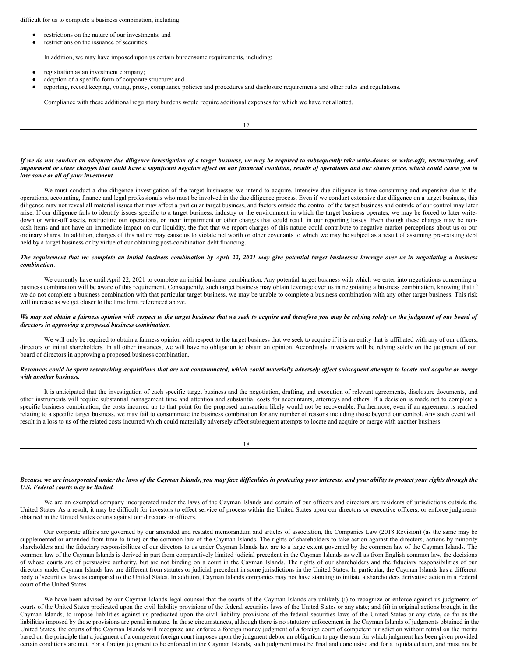difficult for us to complete a business combination, including:

- restrictions on the nature of our investments; and
- restrictions on the issuance of securities.

In addition, we may have imposed upon us certain burdensome requirements, including:

- registration as an investment company;
- adoption of a specific form of corporate structure; and
- reporting, record keeping, voting, proxy, compliance policies and procedures and disclosure requirements and other rules and regulations.

Compliance with these additional regulatory burdens would require additional expenses for which we have not allotted.

17

#### If we do not conduct an adequate due diligence investigation of a target business, we may be required to subsequently take write-downs or write-offs, restructuring, and impairment or other charges that could have a significant negative effect on our financial condition, results of operations and our shares price, which could cause you to *lose some or all of your investment.*

We must conduct a due diligence investigation of the target businesses we intend to acquire. Intensive due diligence is time consuming and expensive due to the operations, accounting, finance and legal professionals who must be involved in the due diligence process. Even if we conduct extensive due diligence on a target business, this diligence may not reveal all material issues that may affect a particular target business, and factors outside the control of the target business and outside of our control may later arise. If our diligence fails to identify issues specific to a target business, industry or the environment in which the target business operates, we may be forced to later writedown or write-off assets, restructure our operations, or incur impairment or other charges that could result in our reporting losses. Even though these charges may be noncash items and not have an immediate impact on our liquidity, the fact that we report charges of this nature could contribute to negative market perceptions about us or our ordinary shares. In addition, charges of this nature may cause us to violate net worth or other covenants to which we may be subject as a result of assuming pre-existing debt held by a target business or by virtue of our obtaining post-combination debt financing.

## The requirement that we complete an initial business combination by April 22, 2021 may give potential target businesses leverage over us in negotiating a business *combination*.

We currently have until April 22, 2021 to complete an initial business combination. Any potential target business with which we enter into negotiations concerning a business combination will be aware of this requirement. Consequently, such target business may obtain leverage over us in negotiating a business combination, knowing that if we do not complete a business combination with that particular target business, we may be unable to complete a business combination with any other target business. This risk will increase as we get closer to the time limit referenced above.

#### We may not obtain a fairness opinion with respect to the target business that we seek to acquire and therefore you may be relying solely on the judgment of our board of *directors in approving a proposed business combination.*

We will only be required to obtain a fairness opinion with respect to the target business that we seek to acquire if it is an entity that is affiliated with any of our officers, directors or initial shareholders. In all other instances, we will have no obligation to obtain an opinion. Accordingly, investors will be relying solely on the judgment of our board of directors in approving a proposed business combination.

#### Resources could be spent researching acquisitions that are not consummated, which could materially adversely affect subsequent attempts to locate and acquire or merge *with another business.*

It is anticipated that the investigation of each specific target business and the negotiation, drafting, and execution of relevant agreements, disclosure documents, and other instruments will require substantial management time and attention and substantial costs for accountants, attorneys and others. If a decision is made not to complete a specific business combination, the costs incurred up to that point for the proposed transaction likely would not be recoverable. Furthermore, even if an agreement is reached relating to a specific target business, we may fail to consummate the business combination for any number of reasons including those beyond our control. Any such event will result in a loss to us of the related costs incurred which could materially adversely affect subsequent attempts to locate and acquire or merge with another business.

18

# Because we are incorporated under the laws of the Cayman Islands, you may face difficulties in protecting your interests, and your ability to protect your rights through the *U.S. Federal courts may be limited.*

We are an exempted company incorporated under the laws of the Cayman Islands and certain of our officers and directors are residents of jurisdictions outside the United States. As a result, it may be difficult for investors to effect service of process within the United States upon our directors or executive officers, or enforce judgments obtained in the United States courts against our directors or officers.

Our corporate affairs are governed by our amended and restated memorandum and articles of association, the Companies Law (2018 Revision) (as the same may be supplemented or amended from time to time) or the common law of the Cayman Islands. The rights of shareholders to take action against the directors, actions by minority shareholders and the fiduciary responsibilities of our directors to us under Cayman Islands law are to a large extent governed by the common law of the Cayman Islands. The common law of the Cayman Islands is derived in part from comparatively limited judicial precedent in the Cayman Islands as well as from English common law, the decisions of whose courts are of persuasive authority, but are not binding on a court in the Cayman Islands. The rights of our shareholders and the fiduciary responsibilities of our directors under Cayman Islands law are different from statutes or judicial precedent in some jurisdictions in the United States. In particular, the Cayman Islands has a different body of securities laws as compared to the United States. In addition, Cayman Islands companies may not have standing to initiate a shareholders derivative action in a Federal court of the United States.

We have been advised by our Cayman Islands legal counsel that the courts of the Cayman Islands are unlikely (i) to recognize or enforce against us judgments of courts of the United States predicated upon the civil liability provisions of the federal securities laws of the United States or any state; and (ii) in original actions brought in the Cayman Islands, to impose liabilities against us predicated upon the civil liability provisions of the federal securities laws of the United States or any state, so far as the liabilities imposed by those provisions are penal in nature. In those circumstances, although there is no statutory enforcement in the Cayman Islands of judgments obtained in the United States, the courts of the Cayman Islands will recognize and enforce a foreign money judgment of a foreign court of competent jurisdiction without retrial on the merits based on the principle that a judgment of a competent foreign court imposes upon the judgment debtor an obligation to pay the sum for which judgment has been given provided certain conditions are met. For a foreign judgment to be enforced in the Cayman Islands, such judgment must be final and conclusive and for a liquidated sum, and must not be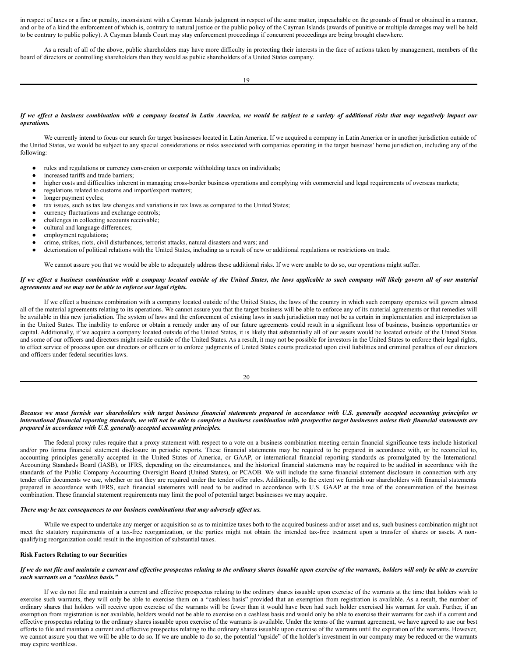in respect of taxes or a fine or penalty, inconsistent with a Cayman Islands judgment in respect of the same matter, impeachable on the grounds of fraud or obtained in a manner, and or be of a kind the enforcement of which is, contrary to natural justice or the public policy of the Cayman Islands (awards of punitive or multiple damages may well be held to be contrary to public policy). A Cayman Islands Court may stay enforcement proceedings if concurrent proceedings are being brought elsewhere.

As a result of all of the above, public shareholders may have more difficulty in protecting their interests in the face of actions taken by management, members of the board of directors or controlling shareholders than they would as public shareholders of a United States company.

#### If we effect a business combination with a company located in Latin America, we would be subject to a variety of additional risks that may negatively impact our *operations.*

We currently intend to focus our search for target businesses located in Latin America. If we acquired a company in Latin America or in another jurisdiction outside of the United States, we would be subject to any special considerations or risks associated with companies operating in the target business' home jurisdiction, including any of the following:

- rules and regulations or currency conversion or corporate withholding taxes on individuals;
- increased tariffs and trade barriers;
- higher costs and difficulties inherent in managing cross-border business operations and complying with commercial and legal requirements of overseas markets;
- regulations related to customs and import/export matters;
- longer payment cycles;
- tax issues, such as tax law changes and variations in tax laws as compared to the United States;
- currency fluctuations and exchange controls;
- challenges in collecting accounts receivable;
- cultural and language differences;
- employment regulations;
- crime, strikes, riots, civil disturbances, terrorist attacks, natural disasters and wars; and
- deterioration of political relations with the United States, including as a result of new or additional regulations or restrictions on trade.

We cannot assure you that we would be able to adequately address these additional risks. If we were unable to do so, our operations might suffer.

## If we effect a business combination with a company located outside of the United States, the laws applicable to such company will likely govern all of our material *agreements and we may not be able to enforce our legal rights.*

If we effect a business combination with a company located outside of the United States, the laws of the country in which such company operates will govern almost all of the material agreements relating to its operations. We cannot assure you that the target business will be able to enforce any of its material agreements or that remedies will be available in this new jurisdiction. The system of laws and the enforcement of existing laws in such jurisdiction may not be as certain in implementation and interpretation as in the United States. The inability to enforce or obtain a remedy under any of our future agreements could result in a significant loss of business, business opportunities or capital. Additionally, if we acquire a company located outside of the United States, it is likely that substantially all of our assets would be located outside of the United States and some of our officers and directors might reside outside of the United States. As a result, it may not be possible for investors in the United States to enforce their legal rights, to effect service of process upon our directors or officers or to enforce judgments of United States courts predicated upon civil liabilities and criminal penalties of our directors and officers under federal securities laws.

 $20$ 

## Because we must furnish our shareholders with target business financial statements prepared in accordance with U.S. generally accepted accounting principles or international financial reporting standards, we will not be able to complete a business combination with prospective target businesses unless their financial statements are *prepared in accordance with U.S. generally accepted accounting principles.*

The federal proxy rules require that a proxy statement with respect to a vote on a business combination meeting certain financial significance tests include historical and/or pro forma financial statement disclosure in periodic reports. These financial statements may be required to be prepared in accordance with, or be reconciled to, accounting principles generally accepted in the United States of America, or GAAP, or international financial reporting standards as promulgated by the International Accounting Standards Board (IASB), or IFRS, depending on the circumstances, and the historical financial statements may be required to be audited in accordance with the standards of the Public Company Accounting Oversight Board (United States), or PCAOB. We will include the same financial statement disclosure in connection with any tender offer documents we use, whether or not they are required under the tender offer rules. Additionally, to the extent we furnish our shareholders with financial statements prepared in accordance with IFRS, such financial statements will need to be audited in accordance with U.S. GAAP at the time of the consummation of the business combination. These financial statement requirements may limit the pool of potential target businesses we may acquire.

## *There may be tax consequences to our business combinations that may adversely af ect us.*

While we expect to undertake any merger or acquisition so as to minimize taxes both to the acquired business and/or asset and us, such business combination might not meet the statutory requirements of a tax-free reorganization, or the parties might not obtain the intended tax-free treatment upon a transfer of shares or assets. A nonqualifying reorganization could result in the imposition of substantial taxes.

#### **Risk Factors Relating to our Securities**

## If we do not file and maintain a current and effective prospectus relating to the ordinary shares issuable upon exercise of the warrants, holders will only be able to exercise *such warrants on a "cashless basis."*

If we do not file and maintain a current and effective prospectus relating to the ordinary shares issuable upon exercise of the warrants at the time that holders wish to exercise such warrants, they will only be able to exercise them on a "cashless basis" provided that an exemption from registration is available. As a result, the number of ordinary shares that holders will receive upon exercise of the warrants will be fewer than it would have been had such holder exercised his warrant for cash. Further, if an exemption from registration is not available, holders would not be able to exercise on a cashless basis and would only be able to exercise their warrants for cash if a current and effective prospectus relating to the ordinary shares issuable upon exercise of the warrants is available. Under the terms of the warrant agreement, we have agreed to use our best efforts to file and maintain a current and effective prospectus relating to the ordinary shares issuable upon exercise of the warrants until the expiration of the warrants. However, we cannot assure you that we will be able to do so. If we are unable to do so, the potential "upside" of the holder's investment in our company may be reduced or the warrants may expire worthless.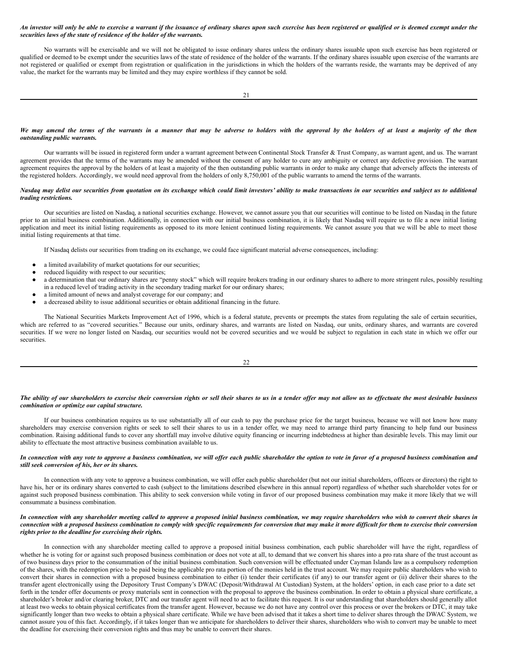## An investor will only be able to exercise a warrant if the issuance of ordinary shares upon such exercise has been registered or qualified or is deemed exempt under the *securities laws of the state of residence of the holder of the warrants.*

No warrants will be exercisable and we will not be obligated to issue ordinary shares unless the ordinary shares issuable upon such exercise has been registered or qualified or deemed to be exempt under the securities laws of the state of residence of the holder of the warrants. If the ordinary shares issuable upon exercise of the warrants are not registered or qualified or exempt from registration or qualification in the jurisdictions in which the holders of the warrants reside, the warrants may be deprived of any value, the market for the warrants may be limited and they may expire worthless if they cannot be sold.

#### We may amend the terms of the warrants in a manner that may be adverse to holders with the approval by the holders of at least a majority of the then *outstanding public warrants.*

Our warrants will be issued in registered form under a warrant agreement between Continental Stock Transfer & Trust Company, as warrant agent, and us. The warrant agreement provides that the terms of the warrants may be amended without the consent of any holder to cure any ambiguity or correct any defective provision. The warrant agreement requires the approval by the holders of at least a majority of the then outstanding public warrants in order to make any change that adversely affects the interests of the registered holders. Accordingly, we would need approval from the holders of only 8,750,001 of the public warrants to amend the terms of the warrants.

## Nasdaq may delist our securities from quotation on its exchange which could limit investors' ability to make transactions in our securities and subject us to additional *trading restrictions.*

Our securities are listed on Nasdaq, a national securities exchange. However, we cannot assure you that our securities will continue to be listed on Nasdaq in the future prior to an initial business combination. Additionally, in connection with our initial business combination, it is likely that Nasdaq will require us to file a new initial listing application and meet its initial listing requirements as opposed to its more lenient continued listing requirements. We cannot assure you that we will be able to meet those initial listing requirements at that time.

If Nasdaq delists our securities from trading on its exchange, we could face significant material adverse consequences, including:

- a limited availability of market quotations for our securities;
- reduced liquidity with respect to our securities;
- a determination that our ordinary shares are "penny stock" which will require brokers trading in our ordinary shares to adhere to more stringent rules, possibly resulting in a reduced level of trading activity in the secondary trading market for our ordinary shares;
- a limited amount of news and analyst coverage for our company; and
- a decreased ability to issue additional securities or obtain additional financing in the future.

The National Securities Markets Improvement Act of 1996, which is a federal statute, prevents or preempts the states from regulating the sale of certain securities, which are referred to as "covered securities." Because our units, ordinary shares, and warrants are listed on Nasdaq, our units, ordinary shares, and warrants are covered securities. If we were no longer listed on Nasdaq, our securities would not be covered securities and we would be subject to regulation in each state in which we offer our securities.

## The ability of our shareholders to exercise their conversion rights or sell their shares to us in a tender offer may not allow us to effectuate the most desirable business *combination or optimize our capital structure.*

If our business combination requires us to use substantially all of our cash to pay the purchase price for the target business, because we will not know how many shareholders may exercise conversion rights or seek to sell their shares to us in a tender offer, we may need to arrange third party financing to help fund our business combination. Raising additional funds to cover any shortfall may involve dilutive equity financing or incurring indebtedness at higher than desirable levels. This may limit our ability to effectuate the most attractive business combination available to us.

## In connection with any vote to approve a business combination, we will offer each public shareholder the option to vote in favor of a proposed business combination and *still seek conversion of his, her or its shares.*

In connection with any vote to approve a business combination, we will offer each public shareholder (but not our initial shareholders, officers or directors) the right to have his, her or its ordinary shares converted to cash (subject to the limitations described elsewhere in this annual report) regardless of whether such shareholder votes for or against such proposed business combination. This ability to seek conversion while voting in favor of our proposed business combination may make it more likely that we will consummate a business combination.

## In connection with any shareholder meeting called to approve a proposed initial business combination, we may require shareholders who wish to convert their shares in connection with a proposed business combination to comply with specific requirements for conversion that may make it more difficult for them to exercise their conversion *rights prior to the deadline for exercising their rights.*

In connection with any shareholder meeting called to approve a proposed initial business combination, each public shareholder will have the right, regardless of whether he is voting for or against such proposed business combination or does not vote at all, to demand that we convert his shares into a pro rata share of the trust account as of two business days prior to the consummation of the initial business combination. Such conversion will be effectuated under Cayman Islands law as a compulsory redemption of the shares, with the redemption price to be paid being the applicable pro rata portion of the monies held in the trust account. We may require public shareholders who wish to convert their shares in connection with a proposed business combination to either (i) tender their certificates (if any) to our transfer agent or (ii) deliver their shares to the transfer agent electronically using the Depository Trust Company's DWAC (Deposit/Withdrawal At Custodian) System, at the holders' option, in each case prior to a date set forth in the tender offer documents or proxy materials sent in connection with the proposal to approve the business combination. In order to obtain a physical share certificate, a shareholder's broker and/or clearing broker, DTC and our transfer agent will need to act to facilitate this request. It is our understanding that shareholders should generally allot at least two weeks to obtain physical certificates from the transfer agent. However, because we do not have any control over this process or over the brokers or DTC, it may take significantly longer than two weeks to obtain a physical share certificate. While we have been advised that it takes a short time to deliver shares through the DWAC System, we cannot assure you of this fact. Accordingly, if it takes longer than we anticipate for shareholders to deliver their shares, shareholders who wish to convert may be unable to meet the deadline for exercising their conversion rights and thus may be unable to convert their shares.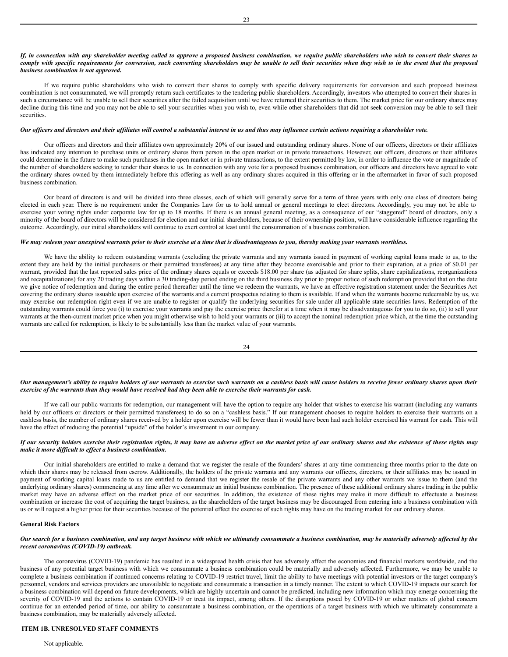## If, in connection with any shareholder meeting called to approve a proposed business combination, we require public shareholders who wish to convert their shares to comply with specific requirements for conversion, such converting shareholders may be unable to sell their securities when they wish to in the event that the proposed *business combination is not approved.*

If we require public shareholders who wish to convert their shares to comply with specific delivery requirements for conversion and such proposed business combination is not consummated, we will promptly return such certificates to the tendering public shareholders. Accordingly, investors who attempted to convert their shares in such a circumstance will be unable to sell their securities after the failed acquisition until we have returned their securities to them. The market price for our ordinary shares may decline during this time and you may not be able to sell your securities when you wish to, even while other shareholders that did not seek conversion may be able to sell their securities.

#### Our officers and directors and their affiliates will control a substantial interest in us and thus may influence certain actions requiring a shareholder vote.

Our officers and directors and their affiliates own approximately 20% of our issued and outstanding ordinary shares. None of our officers, directors or their affiliates has indicated any intention to purchase units or ordinary shares from person in the open market or in private transactions. However, our officers, directors or their affiliates could determine in the future to make such purchases in the open market or in private transactions, to the extent permitted by law, in order to influence the vote or magnitude of the number of shareholders seeking to tender their shares to us. In connection with any vote for a proposed business combination, our officers and directors have agreed to vote the ordinary shares owned by them immediately before this offering as well as any ordinary shares acquired in this offering or in the aftermarket in favor of such proposed business combination.

Our board of directors is and will be divided into three classes, each of which will generally serve for a term of three years with only one class of directors being elected in each year. There is no requirement under the Companies Law for us to hold annual or general meetings to elect directors. Accordingly, you may not be able to exercise your voting rights under corporate law for up to 18 months. If there is an annual general meeting, as a consequence of our "staggered" board of directors, only a minority of the board of directors will be considered for election and our initial shareholders, because of their ownership position, will have considerable influence regarding the outcome. Accordingly, our initial shareholders will continue to exert control at least until the consummation of a business combination.

## We may redeem your unexpired warrants prior to their exercise at a time that is disadvantageous to you, thereby making your warrants worthless.

We have the ability to redeem outstanding warrants (excluding the private warrants and any warrants issued in payment of working capital loans made to us, to the extent they are held by the initial purchasers or their permitted transferees) at any time after they become exercisable and prior to their expiration, at a price of \$0.01 per warrant, provided that the last reported sales price of the ordinary shares equals or exceeds \$18.00 per share (as adjusted for share splits, share capitalizations, reorganizations and recapitalizations) for any 20 trading days within a 30 trading-day period ending on the third business day prior to proper notice of such redemption provided that on the date we give notice of redemption and during the entire period thereafter until the time we redeem the warrants, we have an effective registration statement under the Securities Act covering the ordinary shares issuable upon exercise of the warrants and a current prospectus relating to them is available. If and when the warrants become redeemable by us, we may exercise our redemption right even if we are unable to register or qualify the underlying securities for sale under all applicable state securities laws. Redemption of the outstanding warrants could force you (i) to exercise your warrants and pay the exercise price therefor at a time when it may be disadvantageous for you to do so, (ii) to sell your warrants at the then-current market price when you might otherwise wish to hold your warrants or (iii) to accept the nominal redemption price which, at the time the outstanding warrants are called for redemption, is likely to be substantially less than the market value of your warrants.

$$
24\quad
$$

Our management's ability to require holders of our warrants to exercise such warrants on a cashless basis will cause holders to receive fewer ordinary shares upon their exercise of the warrants than they would have received had they been able to exercise their warrants for cash.

If we call our public warrants for redemption, our management will have the option to require any holder that wishes to exercise his warrant (including any warrants held by our officers or directors or their permitted transferees) to do so on a "cashless basis." If our management chooses to require holders to exercise their warrants on a cashless basis, the number of ordinary shares received by a holder upon exercise will be fewer than it would have been had such holder exercised his warrant for cash. This will have the effect of reducing the potential "upside" of the holder's investment in our company.

## If our security holders exercise their registration rights, it may have an adverse effect on the market price of our ordinary shares and the existence of these rights may *make it more dif icult to ef ect a business combination.*

Our initial shareholders are entitled to make a demand that we register the resale of the founders' shares at any time commencing three months prior to the date on which their shares may be released from escrow. Additionally, the holders of the private warrants and any warrants our officers, directors, or their affiliates may be issued in payment of working capital loans made to us are entitled to demand that we register the resale of the private warrants and any other warrants we issue to them (and the underlying ordinary shares) commencing at any time after we consummate an initial business combination. The presence of these additional ordinary shares trading in the public market may have an adverse effect on the market price of our securities. In addition, the existence of these rights may make it more difficult to effectuate a business combination or increase the cost of acquiring the target business, as the shareholders of the target business may be discouraged from entering into a business combination with us or will request a higher price for their securities because of the potential effect the exercise of such rights may have on the trading market for our ordinary shares.

## **General Risk Factors**

## Our search for a business combination, and any target business with which we ultimately consummate a business combination, may be materially adversely affected by the *recent coronavirus (COVID-19) outbreak.*

The coronavirus (COVID-19) pandemic has resulted in a widespread health crisis that has adversely affect the economies and financial markets worldwide, and the business of any potential target business with which we consummate a business combination could be materially and adversely affected. Furthermore, we may be unable to complete a business combination if continued concerns relating to COVID-19 restrict travel, limit the ability to have meetings with potential investors or the target company's personnel, vendors and services providers are unavailable to negotiate and consummate a transaction in a timely manner. The extent to which COVID-19 impacts our search for a business combination will depend on future developments, which are highly uncertain and cannot be predicted, including new information which may emerge concerning the severity of COVID-19 and the actions to contain COVID-19 or treat its impact, among others. If the disruptions posed by COVID-19 or other matters of global concern continue for an extended period of time, our ability to consummate a business combination, or the operations of a target business with which we ultimately consummate a business combination, may be materially adversely affected.

# <span id="page-12-0"></span>**ITEM 1B. UNRESOLVED STAFF COMMENTS**

#### Not applicable.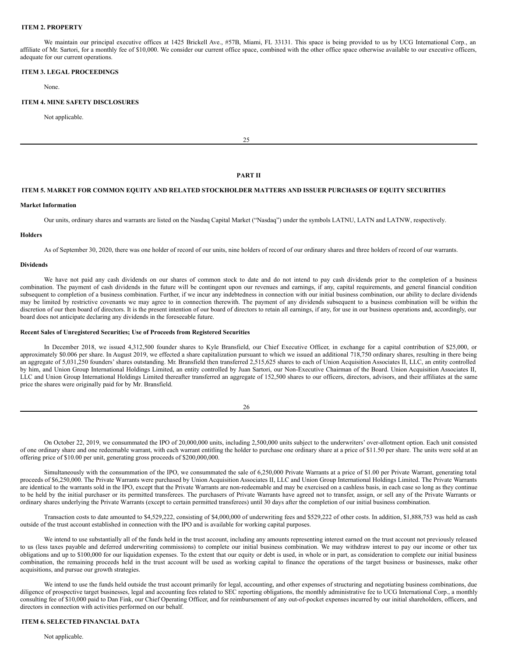## <span id="page-13-0"></span>**ITEM 2. PROPERTY**

We maintain our principal executive offices at 1425 Brickell Ave., #57B, Miami, FL 33131. This space is being provided to us by UCG International Corp., an affiliate of Mr. Sartori, for a monthly fee of \$10,000. We consider our current office space, combined with the other office space otherwise available to our executive officers, adequate for our current operations.

## <span id="page-13-1"></span>**ITEM 3. LEGAL PROCEEDINGS**

None.

#### <span id="page-13-2"></span>**ITEM 4. MINE SAFETY DISCLOSURES**

Not applicable.

 $25$ 

#### **PART II**

# <span id="page-13-3"></span>**ITEM 5. MARKET FOR COMMON EQUITY AND RELATED STOCKHOLDER MATTERS AND ISSUER PURCHASES OF EQUITY SECURITIES**

#### **Market Information**

Our units, ordinary shares and warrants are listed on the Nasdaq Capital Market ("Nasdaq") under the symbols LATNU, LATN and LATNW, respectively.

## **Holders**

As of September 30, 2020, there was one holder of record of our units, nine holders of record of our ordinary shares and three holders of record of our warrants.

## **Dividends**

We have not paid any cash dividends on our shares of common stock to date and do not intend to pay cash dividends prior to the completion of a business combination. The payment of cash dividends in the future will be contingent upon our revenues and earnings, if any, capital requirements, and general financial condition subsequent to completion of a business combination. Further, if we incur any indebtedness in connection with our initial business combination, our ability to declare dividends may be limited by restrictive covenants we may agree to in connection therewith. The payment of any dividends subsequent to a business combination will be within the discretion of our then board of directors. It is the present intention of our board of directors to retain all earnings, if any, for use in our business operations and, accordingly, our board does not anticipate declaring any dividends in the foreseeable future.

## **Recent Sales of Unregistered Securities; Use of Proceeds from Registered Securities**

In December 2018, we issued 4,312,500 founder shares to Kyle Bransfield, our Chief Executive Officer, in exchange for a capital contribution of \$25,000, or approximately \$0.006 per share. In August 2019, we effected a share capitalization pursuant to which we issued an additional 718,750 ordinary shares, resulting in there being an aggregate of 5,031,250 founders' shares outstanding. Mr. Bransfield then transferred 2,515,625 shares to each of Union Acquisition Associates II, LLC, an entity controlled by him, and Union Group International Holdings Limited, an entity controlled by Juan Sartori, our Non-Executive Chairman of the Board. Union Acquisition Associates II, LLC and Union Group International Holdings Limited thereafter transferred an aggregate of 152,500 shares to our officers, directors, advisors, and their affiliates at the same price the shares were originally paid for by Mr. Bransfield.

On October 22, 2019, we consummated the IPO of 20,000,000 units, including 2,500,000 units subject to the underwriters' over-allotment option. Each unit consisted of one ordinary share and one redeemable warrant, with each warrant entitling the holder to purchase one ordinary share at a price of \$11.50 per share. The units were sold at an offering price of \$10.00 per unit, generating gross proceeds of \$200,000,000.

Simultaneously with the consummation of the IPO, we consummated the sale of 6,250,000 Private Warrants at a price of \$1.00 per Private Warrant, generating total proceeds of \$6,250,000. The Private Warrants were purchased by Union Acquisition Associates II, LLC and Union Group International Holdings Limited. The Private Warrants are identical to the warrants sold in the IPO, except that the Private Warrants are non-redeemable and may be exercised on a cashless basis, in each case so long as they continue to be held by the initial purchaser or its permitted transferees. The purchasers of Private Warrants have agreed not to transfer, assign, or sell any of the Private Warrants or ordinary shares underlying the Private Warrants (except to certain permitted transferees) until 30 days after the completion of our initial business combination.

Transaction costs to date amounted to \$4,529,222, consisting of \$4,000,000 of underwriting fees and \$529,222 of other costs. In addition, \$1,888,753 was held as cash outside of the trust account established in connection with the IPO and is available for working capital purposes.

We intend to use substantially all of the funds held in the trust account, including any amounts representing interest earned on the trust account not previously released to us (less taxes payable and deferred underwriting commissions) to complete our initial business combination. We may withdraw interest to pay our income or other tax obligations and up to \$100,000 for our liquidation expenses. To the extent that our equity or debt is used, in whole or in part, as consideration to complete our initial business combination, the remaining proceeds held in the trust account will be used as working capital to finance the operations of the target business or businesses, make other acquisitions, and pursue our growth strategies.

We intend to use the funds held outside the trust account primarily for legal, accounting, and other expenses of structuring and negotiating business combinations, due diligence of prospective target businesses, legal and accounting fees related to SEC reporting obligations, the monthly administrative fee to UCG International Corp., a monthly consulting fee of \$10,000 paid to Dan Fink, our Chief Operating Officer, and for reimbursement of any out-of-pocket expenses incurred by our initial shareholders, officers, and directors in connection with activities performed on our behalf.

# <span id="page-13-4"></span>**ITEM 6. SELECTED FINANCIAL DATA**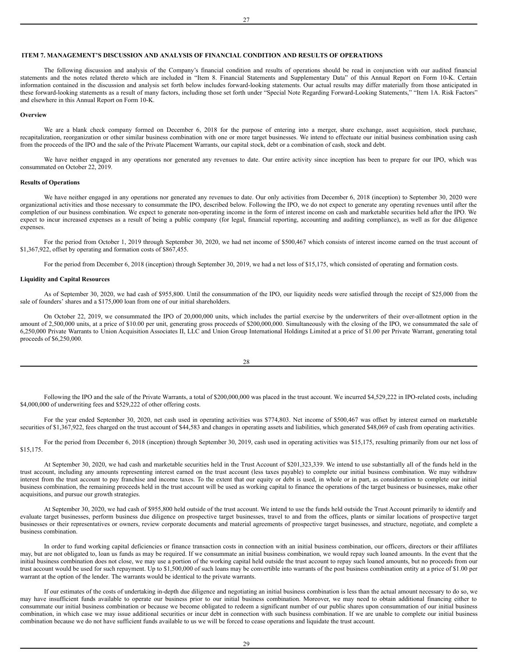<span id="page-14-0"></span>The following discussion and analysis of the Company's financial condition and results of operations should be read in conjunction with our audited financial statements and the notes related thereto which are included in "Item 8. Financial Statements and Supplementary Data" of this Annual Report on Form 10-K. Certain information contained in the discussion and analysis set forth below includes forward-looking statements. Our actual results may differ materially from those anticipated in these forward-looking statements as a result of many factors, including those set forth under "Special Note Regarding Forward-Looking Statements," "Item 1A. Risk Factors" and elsewhere in this Annual Report on Form 10-K.

27

#### **Overview**

We are a blank check company formed on December 6, 2018 for the purpose of entering into a merger, share exchange, asset acquisition, stock purchase, recapitalization, reorganization or other similar business combination with one or more target businesses. We intend to effectuate our initial business combination using cash from the proceeds of the IPO and the sale of the Private Placement Warrants, our capital stock, debt or a combination of cash, stock and debt.

We have neither engaged in any operations nor generated any revenues to date. Our entire activity since inception has been to prepare for our IPO, which was consummated on October 22, 2019.

## **Results of Operations**

We have neither engaged in any operations nor generated any revenues to date. Our only activities from December 6, 2018 (inception) to September 30, 2020 were organizational activities and those necessary to consummate the IPO, described below. Following the IPO, we do not expect to generate any operating revenues until after the completion of our business combination. We expect to generate non-operating income in the form of interest income on cash and marketable securities held after the IPO. We expect to incur increased expenses as a result of being a public company (for legal, financial reporting, accounting and auditing compliance), as well as for due diligence expenses.

For the period from October 1, 2019 through September 30, 2020, we had net income of \$500,467 which consists of interest income earned on the trust account of \$1,367,922, offset by operating and formation costs of \$867,455.

For the period from December 6, 2018 (inception) through September 30, 2019, we had a net loss of \$15,175, which consisted of operating and formation costs.

#### **Liquidity and Capital Resources**

As of September 30, 2020, we had cash of \$955,800. Until the consummation of the IPO, our liquidity needs were satisfied through the receipt of \$25,000 from the sale of founders' shares and a \$175,000 loan from one of our initial shareholders.

On October 22, 2019, we consummated the IPO of 20,000,000 units, which includes the partial exercise by the underwriters of their over-allotment option in the amount of 2,500,000 units, at a price of \$10.00 per unit, generating gross proceeds of \$200,000,000. Simultaneously with the closing of the IPO, we consummated the sale of 6,250,000 Private Warrants to Union Acquisition Associates II, LLC and Union Group International Holdings Limited at a price of \$1.00 per Private Warrant, generating total proceeds of \$6,250,000.

| ł |              |
|---|--------------|
| I | I<br>M.<br>۹ |

Following the IPO and the sale of the Private Warrants, a total of \$200,000,000 was placed in the trust account. We incurred \$4,529,222 in IPO-related costs, including \$4,000,000 of underwriting fees and \$529,222 of other offering costs.

For the year ended September 30, 2020, net cash used in operating activities was \$774,803. Net income of \$500,467 was offset by interest earned on marketable securities of \$1,367,922, fees charged on the trust account of \$44,583 and changes in operating assets and liabilities, which generated \$48,069 of cash from operating activities.

For the period from December 6, 2018 (inception) through September 30, 2019, cash used in operating activities was \$15,175, resulting primarily from our net loss of \$15,175.

At September 30, 2020, we had cash and marketable securities held in the Trust Account of \$201,323,339. We intend to use substantially all of the funds held in the trust account, including any amounts representing interest earned on the trust account (less taxes payable) to complete our initial business combination. We may withdraw interest from the trust account to pay franchise and income taxes. To the extent that our equity or debt is used, in whole or in part, as consideration to complete our initial business combination, the remaining proceeds held in the trust account will be used as working capital to finance the operations of the target business or businesses, make other acquisitions, and pursue our growth strategies.

At September 30, 2020, we had cash of \$955,800 held outside of the trust account. We intend to use the funds held outside the Trust Account primarily to identify and evaluate target businesses, perform business due diligence on prospective target businesses, travel to and from the offices, plants or similar locations of prospective target businesses or their representatives or owners, review corporate documents and material agreements of prospective target businesses, and structure, negotiate, and complete a business combination.

In order to fund working capital deficiencies or finance transaction costs in connection with an initial business combination, our officers, directors or their affiliates may, but are not obligated to, loan us funds as may be required. If we consummate an initial business combination, we would repay such loaned amounts. In the event that the initial business combination does not close, we may use a portion of the working capital held outside the trust account to repay such loaned amounts, but no proceeds from our trust account would be used for such repayment. Up to \$1,500,000 of such loans may be convertible into warrants of the post business combination entity at a price of \$1.00 per warrant at the option of the lender. The warrants would be identical to the private warrants.

If our estimates of the costs of undertaking in-depth due diligence and negotiating an initial business combination is less than the actual amount necessary to do so, we may have insufficient funds available to operate our business prior to our initial business combination. Moreover, we may need to obtain additional financing either to consummate our initial business combination or because we become obligated to redeem a significant number of our public shares upon consummation of our initial business combination, in which case we may issue additional securities or incur debt in connection with such business combination. If we are unable to complete our initial business combination because we do not have sufficient funds available to us we will be forced to cease operations and liquidate the trust account.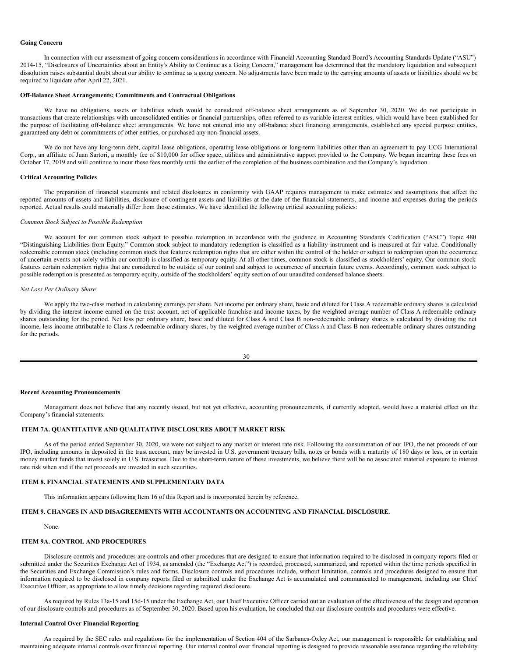#### **Going Concern**

In connection with our assessment of going concern considerations in accordance with Financial Accounting Standard Board's Accounting Standards Update ("ASU") 2014-15, "Disclosures of Uncertainties about an Entity's Ability to Continue as a Going Concern," management has determined that the mandatory liquidation and subsequent dissolution raises substantial doubt about our ability to continue as a going concern. No adjustments have been made to the carrying amounts of assets or liabilities should we be required to liquidate after April 22, 2021.

## **Off-Balance Sheet Arrangements; Commitments and Contractual Obligations**

We have no obligations, assets or liabilities which would be considered off-balance sheet arrangements as of September 30, 2020. We do not participate in transactions that create relationships with unconsolidated entities or financial partnerships, often referred to as variable interest entities, which would have been established for the purpose of facilitating off-balance sheet arrangements. We have not entered into any off-balance sheet financing arrangements, established any special purpose entities, guaranteed any debt or commitments of other entities, or purchased any non-financial assets.

We do not have any long-term debt, capital lease obligations, operating lease obligations or long-term liabilities other than an agreement to pay UCG International Corp., an affiliate of Juan Sartori, a monthly fee of \$10,000 for office space, utilities and administrative support provided to the Company. We began incurring these fees on October 17, 2019 and will continue to incur these fees monthly until the earlier of the completion of the business combination and the Company's liquidation.

## **Critical Accounting Policies**

The preparation of financial statements and related disclosures in conformity with GAAP requires management to make estimates and assumptions that affect the reported amounts of assets and liabilities, disclosure of contingent assets and liabilities at the date of the financial statements, and income and expenses during the periods reported. Actual results could materially differ from those estimates. We have identified the following critical accounting policies:

## *Common Stock Subject to Possible Redemption*

We account for our common stock subject to possible redemption in accordance with the guidance in Accounting Standards Codification ("ASC") Topic 480 "Distinguishing Liabilities from Equity." Common stock subject to mandatory redemption is classified as a liability instrument and is measured at fair value. Conditionally redeemable common stock (including common stock that features redemption rights that are either within the control of the holder or subject to redemption upon the occurrence of uncertain events not solely within our control) is classified as temporary equity. At all other times, common stock is classified as stockholders' equity. Our common stock features certain redemption rights that are considered to be outside of our control and subject to occurrence of uncertain future events. Accordingly, common stock subject to possible redemption is presented as temporary equity, outside of the stockholders' equity section of our unaudited condensed balance sheets.

#### *Net Loss Per Ordinary Share*

We apply the two-class method in calculating earnings per share. Net income per ordinary share, basic and diluted for Class A redeemable ordinary shares is calculated by dividing the interest income earned on the trust account, net of applicable franchise and income taxes, by the weighted average number of Class A redeemable ordinary shares outstanding for the period. Net loss per ordinary share, basic and diluted for Class A and Class B non-redeemable ordinary shares is calculated by dividing the net income, less income attributable to Class A redeemable ordinary shares, by the weighted average number of Class A and Class B non-redeemable ordinary shares outstanding for the periods.

$$
30\,
$$

#### **Recent Accounting Pronouncements**

Management does not believe that any recently issued, but not yet effective, accounting pronouncements, if currently adopted, would have a material effect on the Company's financial statements.

# <span id="page-15-0"></span>**ITEM 7A. QUANTITATIVE AND QUALITATIVE DISCLOSURES ABOUT MARKET RISK**

As of the period ended September 30, 2020, we were not subject to any market or interest rate risk. Following the consummation of our IPO, the net proceeds of our IPO, including amounts in deposited in the trust account, may be invested in U.S. government treasury bills, notes or bonds with a maturity of 180 days or less, or in certain money market funds that invest solely in U.S. treasuries. Due to the short-term nature of these investments, we believe there will be no associated material exposure to interest rate risk when and if the net proceeds are invested in such securities.

## <span id="page-15-1"></span>**ITEM 8. FINANCIAL STATEMENTS AND SUPPLEMENTARY DATA**

This information appears following Item 16 of this Report and is incorporated herein by reference.

## <span id="page-15-2"></span>**ITEM 9. CHANGES IN AND DISAGREEMENTS WITH ACCOUNTANTS ON ACCOUNTING AND FINANCIAL DISCLOSURE.**

## None.

# <span id="page-15-3"></span>**ITEM 9A. CONTROL AND PROCEDURES**

Disclosure controls and procedures are controls and other procedures that are designed to ensure that information required to be disclosed in company reports filed or submitted under the Securities Exchange Act of 1934, as amended (the "Exchange Act") is recorded, processed, summarized, and reported within the time periods specified in the Securities and Exchange Commission's rules and forms. Disclosure controls and procedures include, without limitation, controls and procedures designed to ensure that information required to be disclosed in company reports filed or submitted under the Exchange Act is accumulated and communicated to management, including our Chief Executive Officer, as appropriate to allow timely decisions regarding required disclosure.

As required by Rules 13a-15 and 15d-15 under the Exchange Act, our Chief Executive Officer carried out an evaluation of the effectiveness of the design and operation of our disclosure controls and procedures as of September 30, 2020. Based upon his evaluation, he concluded that our disclosure controls and procedures were effective.

# **Internal Control Over Financial Reporting**

As required by the SEC rules and regulations for the implementation of Section 404 of the Sarbanes-Oxley Act, our management is responsible for establishing and maintaining adequate internal controls over financial reporting. Our internal control over financial reporting is designed to provide reasonable assurance regarding the reliability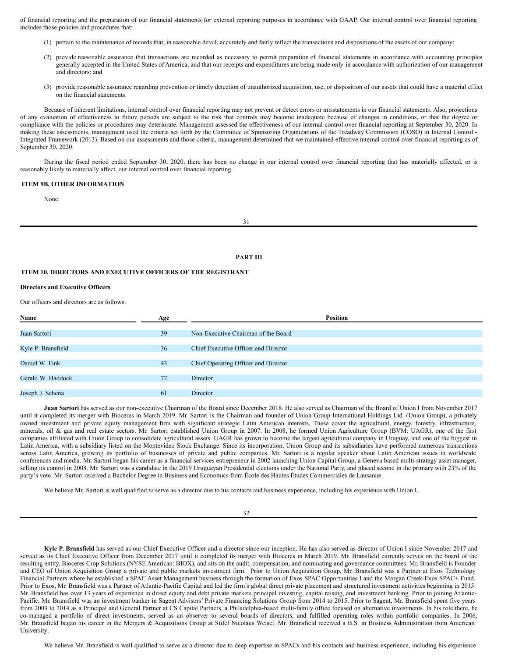of financial reporting and the preparation of our financial statements for external reporting purposes in accordance with GAAP. Our internal control over financial reporting includes those policies and procedures that:

- (1) pertain to the maintenance of records that, in reasonable detail, accurately and fairly reflect the transactions and dispositions of the assets of our company;
- (2) provide reasonable assurance that transactions are recorded as necessary to permit preparation of financial statements in accordance with accounting principles generally accepted in the United States of America, and that our receipts and expenditures are being made only in accordance with authorization of our management and directors; and
- (3) provide reasonable assurance regarding prevention or timely detection of unauthorized acquisition, use, or disposition of our assets that could have a material effect on the financial statements.

Because of inherent limitations, internal control over financial reporting may not prevent or detect errors or misstatements in our financial statements. Also, projections of any evaluation of effectiveness to future periods are subject to the risk that controls may become inadequate because of changes in conditions, or that the degree or compliance with the policies or procedures may deteriorate. Management assessed the effectiveness of our internal control over financial reporting at September 30, 2020. In making these assessments, management used the criteria set forth by the Committee of Sponsoring Organizations of the Treadway Commission (COSO) in Internal Control -Integrated Framework (2013). Based on our assessments and those criteria, management determined that we maintained effective internal control over financial reporting as of September 30, 2020.

During the fiscal period ended September 30, 2020, there has been no change in our internal control over financial reporting that has materially affected, or is reasonably likely to materially affect, our internal control over financial reporting.

#### <span id="page-16-0"></span>**ITEM 9B. OTHER INFORMATION**

None.

31

#### **PART III**

## <span id="page-16-1"></span>**ITEM 10. DIRECTORS AND EXECUTIVE OFFICERS OF THE REGISTRANT**

## **Directors and Executive Officers**

Our officers and directors are as follows:

| Name               | Age | Position                             |  |
|--------------------|-----|--------------------------------------|--|
|                    |     |                                      |  |
| Juan Sartori       | 39  | Non-Executive Chairman of the Board  |  |
|                    |     |                                      |  |
| Kyle P. Bransfield | 36  | Chief Executive Officer and Director |  |
|                    |     |                                      |  |
| Daniel W. Fink     | 43  | Chief Operating Officer and Director |  |
|                    |     |                                      |  |
| Gerald W. Haddock  | 72  | Director                             |  |
|                    |     |                                      |  |
| Joseph J. Schena   | 61  | Director                             |  |

**Juan Sartori** has served as our non-executive Chairman of the Board since December 2018. He also served as Chairman of the Board of Union I from November 2017 until it completed its merger with Bioceres in March 2019. Mr. Sartori is the Chairman and founder of Union Group International Holdings Ltd. (Union Group), a privately owned investment and private equity management firm with significant strategic Latin American interests. These cover the agricultural, energy, forestry, infrastructure, minerals, oil & gas and real estate sectors. Mr. Sartori established Union Group in 2007. In 2008, he formed Union Agriculture Group (BVM: UAGR), one of the first companies affiliated with Union Group to consolidate agricultural assets. UAGR has grown to become the largest agricultural company in Uruguay, and one of the biggest in Latin America, with a subsidiary listed on the Montevideo Stock Exchange. Since its incorporation, Union Group and its subsidiaries have performed numerous transactions across Latin America, growing its portfolio of businesses of private and public companies. Mr. Sartori is a regular speaker about Latin American issues in worldwide conferences and media. Mr. Sartori began his career as a financial services entrepreneur in 2002 launching Union Capital Group, a Geneva based multi-strategy asset manager, selling its control in 2008. Mr. Sartori was a candidate in the 2019 Uruguayan Presidential elections under the National Party, and placed second in the primary with 23% of the party's vote. Mr. Sartori received a Bachelor Degree in Business and Economics from École des Hautes Études Commerciales de Lausanne.

We believe Mr. Sartori is well qualified to serve as a director due to his contacts and business experience, including his experience with Union I.

#### 32

**Kyle P. Bransfield** has served as our Chief Executive Officer and a director since our inception. He has also served as director of Union I since November 2017 and served as its Chief Executive Officer from December 2017 until it completed its merger with Bioceres in March 2019. Mr. Bransfield currently serves on the board of the resulting entity, Bioceres Crop Solutions (NYSE American: BIOX), and sits on the audit, compensation, and nominating and governance committees. Mr. Bransfield is Founder and CEO of Union Acquisition Group a private and public markets investment firm. Prior to Union Acquisition Group, Mr. Bransfield was a Partner at Exos Technology Financial Partners where he established a SPAC Asset Management business through the formation of Exos SPAC Opportunities I and the Morgan Creek-Exos SPAC+ Fund. Prior to Exos, Mr. Bransfield was a Partner of Atlantic-Pacific Capital and led the firm's global direct private placement and structured investment activities beginning in 2015. Mr. Bransfield has over 13 years of experience in direct equity and debt private markets principal investing, capital raising, and investment banking. Prior to joining Atlantic-Pacific, Mr. Bransfield was an investment banker in Sagent Advisors' Private Financing Solutions Group from 2014 to 2015. Prior to Sagent, Mr. Bransfield spent five years from 2009 to 2014 as a Principal and General Partner at CS Capital Partners, a Philadelphia-based multi-family office focused on alternative investments. In his role there, he co-managed a portfolio of direct investments, served as an observer to several boards of directors, and fulfilled operating roles within portfolio companies. In 2006, Mr. Bransfield began his career in the Mergers & Acquisitions Group at Stifel Nicolaus Weisel. Mr. Bransfield received a B.S. in Business Administration from American University.

We believe Mr. Bransfield is well qualified to serve as a director due to deep expertise in SPACs and his contacts and business experience, including his experience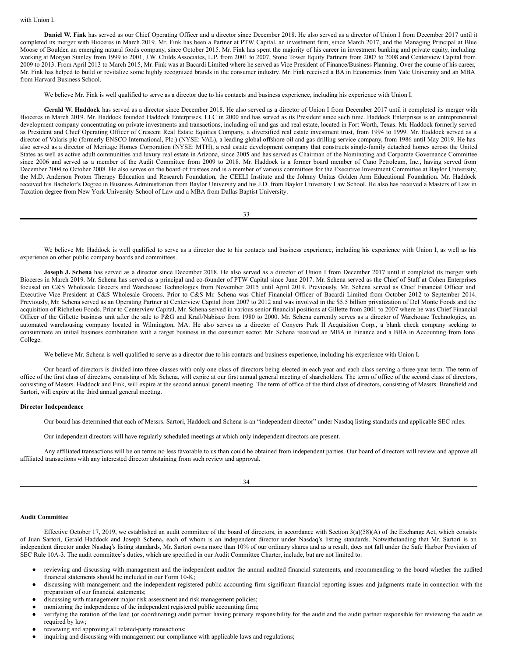**Daniel W. Fink** has served as our Chief Operating Officer and a director since December 2018. He also served as a director of Union I from December 2017 until it completed its merger with Bioceres in March 2019. Mr. Fink has been a Partner at PTW Capital, an investment firm, since March 2017, and the Managing Principal at Blue Moose of Boulder, an emerging natural foods company, since October 2015. Mr. Fink has spent the majority of his career in investment banking and private equity, including working at Morgan Stanley from 1999 to 2001, J.W. Childs Associates, L.P. from 2001 to 2007, Stone Tower Equity Partners from 2007 to 2008 and Centerview Capital from 2009 to 2013. From April 2013 to March 2015, Mr. Fink was at Bacardi Limited where he served as Vice President of Finance/Business Planning. Over the course of his career, Mr. Fink has helped to build or revitalize some highly recognized brands in the consumer industry. Mr. Fink received a BA in Economics from Yale University and an MBA from Harvard Business School.

We believe Mr. Fink is well qualified to serve as a director due to his contacts and business experience, including his experience with Union I.

**Gerald W. Haddock** has served as a director since December 2018. He also served as a director of Union I from December 2017 until it completed its merger with Bioceres in March 2019. Mr. Haddock founded Haddock Enterprises, LLC in 2000 and has served as its President since such time. Haddock Enterprises is an entrepreneurial development company concentrating on private investments and transactions, including oil and gas and real estate, located in Fort Worth, Texas. Mr. Haddock formerly served as President and Chief Operating Officer of Crescent Real Estate Equities Company, a diversified real estate investment trust, from 1994 to 1999. Mr. Haddock served as a director of Valaris plc (formerly ENSCO International, Plc.) (NYSE: VAL), a leading global offshore oil and gas drilling service company, from 1986 until May 2019. He has also served as a director of Meritage Homes Corporation (NYSE: MTH), a real estate development company that constructs single-family detached homes across the United States as well as active adult communities and luxury real estate in Arizona, since 2005 and has served as Chairman of the Nominating and Corporate Governance Committee since 2006 and served as a member of the Audit Committee from 2009 to 2018. Mr. Haddock is a former board member of Cano Petroleum, Inc., having served from December 2004 to October 2008. He also serves on the board of trustees and is a member of various committees for the Executive Investment Committee at Baylor University, the M.D. Anderson Proton Therapy Education and Research Foundation, the CEELI Institute and the Johnny Unitas Golden Arm Educational Foundation. Mr. Haddock received his Bachelor's Degree in Business Administration from Baylor University and his J.D. from Baylor University Law School. He also has received a Masters of Law in Taxation degree from New York University School of Law and a MBA from Dallas Baptist University.

33

We believe Mr. Haddock is well qualified to serve as a director due to his contacts and business experience, including his experience with Union I, as well as his experience on other public company boards and committees.

**Joseph J. Schena** has served as a director since December 2018. He also served as a director of Union I from December 2017 until it completed its merger with Bioceres in March 2019. Mr. Schena has served as a principal and co-founder of PTW Capital since June 2017. Mr. Schena served as the Chief of Staff at Cohen Enterprises focused on C&S Wholesale Grocers and Warehouse Technologies from November 2015 until April 2019. Previously, Mr. Schena served as Chief Financial Officer and Executive Vice President at C&S Wholesale Grocers. Prior to C&S Mr. Schena was Chief Financial Officer of Bacardi Limited from October 2012 to September 2014. Previously, Mr. Schena served as an Operating Partner at Centerview Capital from 2007 to 2012 and was involved in the \$5.5 billion privatization of Del Monte Foods and the acquisition of Richelieu Foods. Prior to Centerview Capital, Mr. Schena served in various senior financial positions at Gillette from 2001 to 2007 where he was Chief Financial Officer of the Gillette business unit after the sale to P&G and Kraft/Nabisco from 1980 to 2000. Mr. Schena currently serves as a director of Warehouse Technologies, an automated warehousing company located in Wilmington, MA. He also serves as a director of Conyers Park II Acquisition Corp., a blank check company seeking to consummate an initial business combination with a target business in the consumer sector. Mr. Schena received an MBA in Finance and a BBA in Accounting from Iona College.

We believe Mr. Schena is well qualified to serve as a director due to his contacts and business experience, including his experience with Union I.

Our board of directors is divided into three classes with only one class of directors being elected in each year and each class serving a three-year term. The term of office of the first class of directors, consisting of Mr. Schena, will expire at our first annual general meeting of shareholders. The term of office of the second class of directors, consisting of Messrs. Haddock and Fink, will expire at the second annual general meeting. The term of office of the third class of directors, consisting of Messrs. Bransfield and Sartori, will expire at the third annual general meeting.

#### **Director Independence**

Our board has determined that each of Messrs. Sartori, Haddock and Schena is an "independent director" under Nasdaq listing standards and applicable SEC rules.

Our independent directors will have regularly scheduled meetings at which only independent directors are present.

Any affiliated transactions will be on terms no less favorable to us than could be obtained from independent parties. Our board of directors will review and approve all affiliated transactions with any interested director abstaining from such review and approval.

|                    | I |
|--------------------|---|
|                    |   |
| ۰,<br>I<br>×<br>۰. | ٧ |

#### **Audit Committee**

Effective October 17, 2019, we established an audit committee of the board of directors, in accordance with Section 3(a)(58)(A) of the Exchange Act, which consists of Juan Sartori, Gerald Haddock and Joseph Schena**,** each of whom is an independent director under Nasdaq's listing standards. Notwithstanding that Mr. Sartori is an independent director under Nasdaq's listing standards, Mr. Sartori owns more than 10% of our ordinary shares and as a result, does not fall under the Safe Harbor Provision of SEC Rule 10A-3. The audit committee's duties, which are specified in our Audit Committee Charter, include, but are not limited to:

- reviewing and discussing with management and the independent auditor the annual audited financial statements, and recommending to the board whether the audited financial statements should be included in our Form 10-K;
- discussing with management and the independent registered public accounting firm significant financial reporting issues and judgments made in connection with the preparation of our financial statements;
- discussing with management major risk assessment and risk management policies;
- monitoring the independence of the independent registered public accounting firm;
- verifying the rotation of the lead (or coordinating) audit partner having primary responsibility for the audit and the audit partner responsible for reviewing the audit as required by law;
- reviewing and approving all related-party transactions;
- inquiring and discussing with management our compliance with applicable laws and regulations;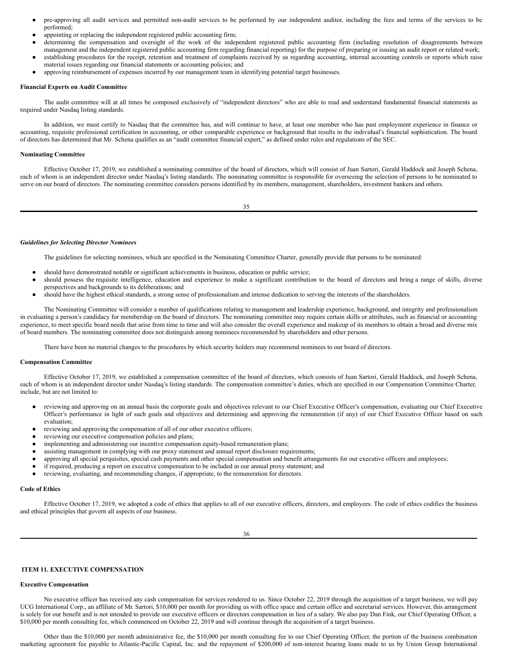- pre-approving all audit services and permitted non-audit services to be performed by our independent auditor, including the fees and terms of the services to be performed;
- appointing or replacing the independent registered public accounting firm;
- determining the compensation and oversight of the work of the independent registered public accounting firm (including resolution of disagreements between management and the independent registered public accounting firm regarding financial reporting) for the purpose of preparing or issuing an audit report or related work;
- establishing procedures for the receipt, retention and treatment of complaints received by us regarding accounting, internal accounting controls or reports which raise material issues regarding our financial statements or accounting policies; and
- approving reimbursement of expenses incurred by our management team in identifying potential target businesses.

#### **Financial Experts on Audit Committee**

The audit committee will at all times be composed exclusively of "independent directors" who are able to read and understand fundamental financial statements as required under Nasdaq listing standards.

In addition, we must certify to Nasdaq that the committee has, and will continue to have, at least one member who has past employment experience in finance or accounting, requisite professional certification in accounting, or other comparable experience or background that results in the individual's financial sophistication. The board of directors has determined that Mr. Schena qualifies as an "audit committee financial expert," as defined under rules and regulations of the SEC.

## **Nominating Committee**

Effective October 17, 2019, we established a nominating committee of the board of directors, which will consist of Juan Sartori, Gerald Haddock and Joseph Schena, each of whom is an independent director under Nasdaq's listing standards. The nominating committee is responsible for overseeing the selection of persons to be nominated to serve on our board of directors. The nominating committee considers persons identified by its members, management, shareholders, investment bankers and others.

35

#### *Guidelines for Selecting Director Nominees*

The guidelines for selecting nominees, which are specified in the Nominating Committee Charter, generally provide that persons to be nominated:

- should have demonstrated notable or significant achievements in business, education or public service;
- should possess the requisite intelligence, education and experience to make a significant contribution to the board of directors and bring a range of skills, diverse perspectives and backgrounds to its deliberations; and
- should have the highest ethical standards, a strong sense of professionalism and intense dedication to serving the interests of the shareholders.

The Nominating Committee will consider a number of qualifications relating to management and leadership experience, background, and integrity and professionalism in evaluating a person's candidacy for membership on the board of directors. The nominating committee may require certain skills or attributes, such as financial or accounting experience, to meet specific board needs that arise from time to time and will also consider the overall experience and makeup of its members to obtain a broad and diverse mix of board members. The nominating committee does not distinguish among nominees recommended by shareholders and other persons.

There have been no material changes to the procedures by which security holders may recommend nominees to our board of directors.

#### **Compensation Committee**

Effective October 17, 2019, we established a compensation committee of the board of directors, which consists of Juan Sartori, Gerald Haddock, and Joseph Schena, each of whom is an independent director under Nasdaq's listing standards. The compensation committee's duties, which are specified in our Compensation Committee Charter, include, but are not limited to:

- reviewing and approving on an annual basis the corporate goals and objectives relevant to our Chief Executive Officer's compensation, evaluating our Chief Executive Officer's performance in light of such goals and objectives and determining and approving the remuneration (if any) of our Chief Executive Officer based on such evaluation;
- reviewing and approving the compensation of all of our other executive officers;
- reviewing our executive compensation policies and plans;
- implementing and administering our incentive compensation equity-based remuneration plans;
- assisting management in complying with our proxy statement and annual report disclosure requirements;
- approving all special perquisites, special cash payments and other special compensation and benefit arrangements for our executive officers and employees;
- if required, producing a report on executive compensation to be included in our annual proxy statement; and
- reviewing, evaluating, and recommending changes, if appropriate, to the remuneration for directors.

## **Code of Ethics**

Effective October 17, 2019, we adopted a code of ethics that applies to all of our executive officers, directors, and employees. The code of ethics codifies the business and ethical principles that govern all aspects of our business.

# <span id="page-18-0"></span>**ITEM 11. EXECUTIVE COMPENSATION**

#### **Executive Compensation**

No executive officer has received any cash compensation for services rendered to us. Since October 22, 2019 through the acquisition of a target business, we will pay UCG International Corp., an affiliate of Mr. Sartori, \$10,000 per month for providing us with office space and certain office and secretarial services. However, this arrangement is solely for our benefit and is not intended to provide our executive officers or directors compensation in lieu of a salary. We also pay Dan Fink, our Chief Operating Officer, a \$10,000 per month consulting fee, which commenced on October 22, 2019 and will continue through the acquisition of a target business.

Other than the \$10,000 per month administrative fee, the \$10,000 per month consulting fee to our Chief Operating Officer, the portion of the business combination marketing agreement fee payable to Atlantic-Pacific Capital, Inc. and the repayment of \$200,000 of non-interest bearing loans made to us by Union Group International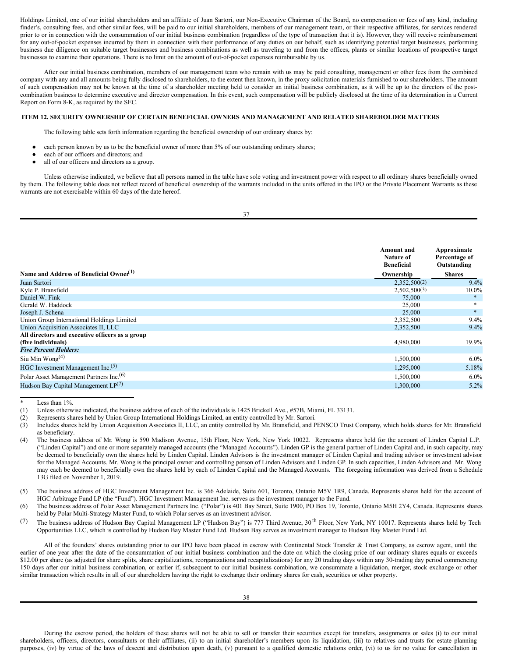Holdings Limited, one of our initial shareholders and an affiliate of Juan Sartori, our Non-Executive Chairman of the Board, no compensation or fees of any kind, including finder's, consulting fees, and other similar fees, will be paid to our initial shareholders, members of our management team, or their respective affiliates, for services rendered prior to or in connection with the consummation of our initial business combination (regardless of the type of transaction that it is). However, they will receive reimbursement for any out-of-pocket expenses incurred by them in connection with their performance of any duties on our behalf, such as identifying potential target businesses, performing business due diligence on suitable target businesses and business combinations as well as traveling to and from the offices, plants or similar locations of prospective target businesses to examine their operations. There is no limit on the amount of out-of-pocket expenses reimbursable by us.

After our initial business combination, members of our management team who remain with us may be paid consulting, management or other fees from the combined company with any and all amounts being fully disclosed to shareholders, to the extent then known, in the proxy solicitation materials furnished to our shareholders. The amount of such compensation may not be known at the time of a shareholder meeting held to consider an initial business combination, as it will be up to the directors of the postcombination business to determine executive and director compensation. In this event, such compensation will be publicly disclosed at the time of its determination in a Current Report on Form 8-K, as required by the SEC.

## <span id="page-19-0"></span>**ITEM 12. SECURITY OWNERSHIP OF CERTAIN BENEFICIAL OWNERS AND MANAGEMENT AND RELATED SHAREHOLDER MATTERS**

The following table sets forth information regarding the beneficial ownership of our ordinary shares by:

- each person known by us to be the beneficial owner of more than 5% of our outstanding ordinary shares;
- each of our officers and directors; and
- all of our officers and directors as a group.

Unless otherwise indicated, we believe that all persons named in the table have sole voting and investment power with respect to all ordinary shares beneficially owned by them. The following table does not reflect record of beneficial ownership of the warrants included in the units offered in the IPO or the Private Placement Warrants as these warrants are not exercisable within 60 days of the date hereof.

|                   | ۰. |
|-------------------|----|
|                   | ۰, |
| I<br>I<br>÷<br>۰. |    |

|                                                     | Amount and<br>Nature of<br><b>Beneficial</b> | Approximate<br>Percentage of<br>Outstanding |
|-----------------------------------------------------|----------------------------------------------|---------------------------------------------|
| Name and Address of Beneficial Owner <sup>(1)</sup> | Ownership                                    | <b>Shares</b>                               |
| Juan Sartori                                        | 2,352,500(2)                                 | 9.4%                                        |
| Kyle P. Bransfield                                  | 2,502,500(3)                                 | $10.0\%$                                    |
| Daniel W. Fink                                      | 75,000                                       | $\ast$                                      |
| Gerald W. Haddock                                   | 25,000                                       |                                             |
| Joseph J. Schena                                    | 25,000                                       | $\ast$                                      |
| Union Group International Holdings Limited          | 2,352,500                                    | $9.4\%$                                     |
| Union Acquisition Associates II, LLC                | 2,352,500                                    | 9.4%                                        |
| All directors and executive officers as a group     |                                              |                                             |
| (five individuals)                                  | 4,980,000                                    | 19.9%                                       |
| <b>Five Percent Holders:</b>                        |                                              |                                             |
| Siu Min Wong $(4)$                                  | 1,500,000                                    | $6.0\%$                                     |
| HGC Investment Management Inc. <sup>(5)</sup>       | 1,295,000                                    | 5.18%                                       |
| Polar Asset Management Partners Inc. <sup>(6)</sup> | 1,500,000                                    | $6.0\%$                                     |
| Hudson Bay Capital Management LP <sup>(7)</sup>     | 1,300,000                                    | 5.2%                                        |

Less than  $1\%$ 

- (1) Unless otherwise indicated, the business address of each of the individuals is 1425 Brickell Ave., #57B, Miami, FL 33131.
- (2) Represents shares held by Union Group International Holdings Limited, an entity controlled by Mr. Sartori.
- (3) Includes shares held by Union Acquisition Associates II, LLC, an entity controlled by Mr. Bransfield, and PENSCO Trust Company, which holds shares for Mr. Bransfield as beneficiary.
- (4) The business address of Mr. Wong is 590 Madison Avenue, 15th Floor, New York, New York 10022. Represents shares held for the account of Linden Capital L.P. ("Linden Capital") and one or more separately managed accounts (the "Managed Accounts"). Linden GP is the general partner of Linden Capital and, in such capacity, may be deemed to beneficially own the shares held by Linden Capital. Linden Advisors is the investment manager of Linden Capital and trading advisor or investment advisor for the Managed Accounts. Mr. Wong is the principal owner and controlling person of Linden Advisors and Linden GP. In such capacities, Linden Advisors and Mr. Wong may each be deemed to beneficially own the shares held by each of Linden Capital and the Managed Accounts. The foregoing information was derived from a Schedule 13G filed on November 1, 2019.
- (5) The business address of HGC Investment Management Inc. is 366 Adelaide, Suite 601, Toronto, Ontario M5V 1R9, Canada. Represents shares held for the account of HGC Arbitrage Fund LP (the "Fund"). HGC Investment Management Inc. serves as the investment manager to the Fund.
- (6) The business address of Polar Asset Management Partners Inc. ("Polar") is 401 Bay Street, Suite 1900, PO Box 19, Toronto, Ontario M5H 2Y4, Canada. Represents shares held by Polar Multi-Strategy Master Fund, to which Polar serves as an investment advisor.
- (7) The business address of Hudson Bay Capital Management LP ("Hudson Bay") is 777 Third Avenue, 30<sup>th</sup> Floor, New York, NY 10017. Represents shares held by Tech Opportunities LLC, which is controlled by Hudson Bay Master Fund Ltd. Hudson Bay serves as investment manager to Hudson Bay Master Fund Ltd.

All of the founders' shares outstanding prior to our IPO have been placed in escrow with Continental Stock Transfer & Trust Company, as escrow agent, until the earlier of one year after the date of the consummation of our initial business combination and the date on which the closing price of our ordinary shares equals or exceeds \$12.00 per share (as adjusted for share splits, share capitalizations, reorganizations and recapitalizations) for any 20 trading days within any 30-trading day period commencing 150 days after our initial business combination, or earlier if, subsequent to our initial business combination, we consummate a liquidation, merger, stock exchange or other similar transaction which results in all of our shareholders having the right to exchange their ordinary shares for cash, securities or other property.

During the escrow period, the holders of these shares will not be able to sell or transfer their securities except for transfers, assignments or sales (i) to our initial shareholders, officers, directors, consultants or their affiliates, (ii) to an initial shareholder's members upon its liquidation, (iii) to relatives and trusts for estate planning purposes, (iv) by virtue of the laws of descent and distribution upon death, (v) pursuant to a qualified domestic relations order, (vi) to us for no value for cancellation in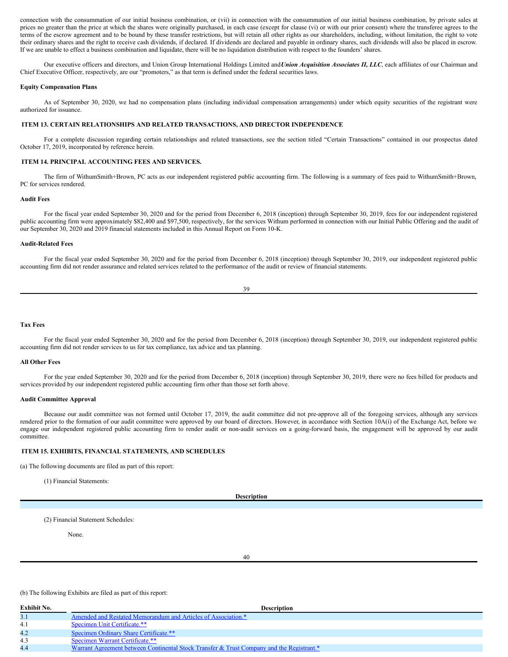connection with the consummation of our initial business combination, or (vii) in connection with the consummation of our initial business combination, by private sales at prices no greater than the price at which the shares were originally purchased, in each case (except for clause (vi) or with our prior consent) where the transferee agrees to the terms of the escrow agreement and to be bound by these transfer restrictions, but will retain all other rights as our shareholders, including, without limitation, the right to vote their ordinary shares and the right to receive cash dividends, if declared. If dividends are declared and payable in ordinary shares, such dividends will also be placed in escrow. If we are unable to effect a business combination and liquidate, there will be no liquidation distribution with respect to the founders' shares.

Our executive officers and directors, and Union Group International Holdings Limited and*Union Acquisition Associates II, LLC*, each affiliates of our Chairman and Chief Executive Officer, respectively, are our "promoters," as that term is defined under the federal securities laws.

#### **Equity Compensation Plans**

As of September 30, 2020, we had no compensation plans (including individual compensation arrangements) under which equity securities of the registrant were authorized for issuance.

#### <span id="page-20-0"></span>**ITEM 13. CERTAIN RELATIONSHIPS AND RELATED TRANSACTIONS, AND DIRECTOR INDEPENDENCE**

For a complete discussion regarding certain relationships and related transactions, see the section titled "Certain Transactions" contained in our prospectus dated October 17, 2019, incorporated by reference herein.

## <span id="page-20-1"></span>**ITEM 14. PRINCIPAL ACCOUNTING FEES AND SERVICES.**

The firm of WithumSmith+Brown, PC acts as our independent registered public accounting firm. The following is a summary of fees paid to WithumSmith+Brown, PC for services rendered.

## **Audit Fees**

For the fiscal year ended September 30, 2020 and for the period from December 6, 2018 (inception) through September 30, 2019, fees for our independent registered public accounting firm were approximately \$82,400 and \$97,500, respectively, for the services Withum performed in connection with our Initial Public Offering and the audit of our September 30, 2020 and 2019 financial statements included in this Annual Report on Form 10-K.

#### **Audit-Related Fees**

For the fiscal year ended September 30, 2020 and for the period from December 6, 2018 (inception) through September 30, 2019, our independent registered public accounting firm did not render assurance and related services related to the performance of the audit or review of financial statements.

| I      | ¢<br>۰.<br>۰. |
|--------|---------------|
| I      | ۰,            |
| $\sim$ | ٧             |
|        |               |

#### **Tax Fees**

For the fiscal year ended September 30, 2020 and for the period from December 6, 2018 (inception) through September 30, 2019, our independent registered public accounting firm did not render services to us for tax compliance, tax advice and tax planning.

#### **All Other Fees**

For the year ended September 30, 2020 and for the period from December 6, 2018 (inception) through September 30, 2019, there were no fees billed for products and services provided by our independent registered public accounting firm other than those set forth above.

#### **Audit Committee Approval**

Because our audit committee was not formed until October 17, 2019, the audit committee did not pre-approve all of the foregoing services, although any services rendered prior to the formation of our audit committee were approved by our board of directors. However, in accordance with Section 10A(i) of the Exchange Act, before we engage our independent registered public accounting firm to render audit or non-audit services on a going-forward basis, the engagement will be approved by our audit committee.

#### <span id="page-20-2"></span>**ITEM 15. EXHIBITS, FINANCIAL STATEMENTS, AND SCHEDULES**

(a) The following documents are filed as part of this report:

(1) Financial Statements:

**Description**

(2) Financial Statement Schedules:

None.

40

#### (b) The following Exhibits are filed as part of this report:

| Exhibit No. | <b>Description</b>                                                                        |
|-------------|-------------------------------------------------------------------------------------------|
|             | Amended and Restated Memorandum and Articles of Association.*                             |
| $-4.1$      | <b>Specimen Unit Certificate.**</b>                                                       |
| 4.2         | Specimen Ordinary Share Certificate.**                                                    |
| -4.3        | Specimen Warrant Certificate.**                                                           |
| 4.4         | Warrant Agreement between Continental Stock Transfer & Trust Company and the Registrant.* |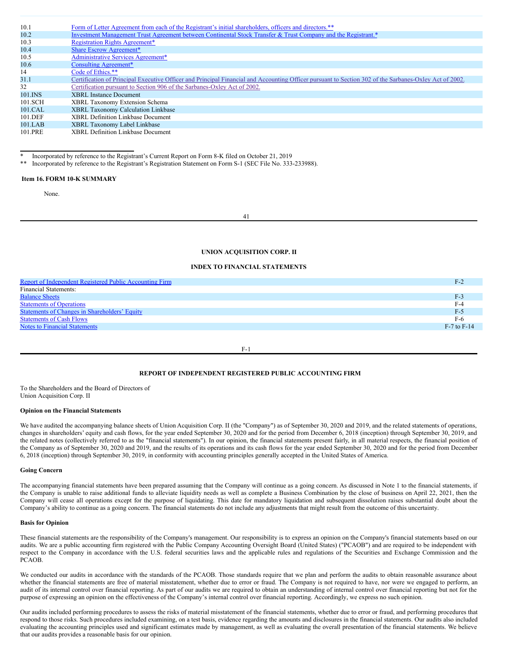| 10.1    | Form of Letter Agreement from each of the Registrant's initial shareholders, officers and directors.**                                                 |
|---------|--------------------------------------------------------------------------------------------------------------------------------------------------------|
| 10.2    | Investment Management Trust Agreement between Continental Stock Transfer & Trust Company and the Registrant.*                                          |
| 10.3    | <b>Registration Rights Agreement*</b>                                                                                                                  |
| 10.4    | <b>Share Escrow Agreement*</b>                                                                                                                         |
| 10.5    | <b>Administrative Services Agreement*</b>                                                                                                              |
| 10.6    | Consulting Agreement*                                                                                                                                  |
| 14      | Code of Ethics.**                                                                                                                                      |
| 31.1    | Certification of Principal Executive Officer and Principal Financial and Accounting Officer pursuant to Section 302 of the Sarbanes-Oxley Act of 2002. |
| 32      | Certification pursuant to Section 906 of the Sarbanes-Oxley Act of 2002.                                                                               |
| 101.INS | <b>XBRL</b> Instance Document                                                                                                                          |
| 101.SCH | XBRL Taxonomy Extension Schema                                                                                                                         |
| 101.CAL | <b>XBRL Taxonomy Calculation Linkbase</b>                                                                                                              |
| 101.DEF | <b>XBRL Definition Linkbase Document</b>                                                                                                               |
| 101.LAB | XBRL Taxonomy Label Linkbase                                                                                                                           |
| 101.PRE | <b>XBRL Definition Linkbase Document</b>                                                                                                               |

Incorporated by reference to the Registrant's Current Report on Form 8-K filed on October 21, 2019

Incorporated by reference to the Registrant's Registration Statement on Form S-1 (SEC File No. 333-233988).

#### <span id="page-21-0"></span>**Item 16. FORM 10-K SUMMARY**

None.

41

## **UNION ACQUISITION CORP. II**

#### **INDEX TO FINANCIAL STATEMENTS**

| Report of Independent Registered Public Accounting Firm | F-2             |
|---------------------------------------------------------|-----------------|
| <b>Financial Statements:</b>                            |                 |
| <b>Balance Sheets</b>                                   | F-3             |
| <b>Statements of Operations</b>                         | $F-4$           |
| <b>Statements of Changes in Shareholders' Equity</b>    | $F-5$           |
| <b>Statements of Cash Flows</b>                         | F-6             |
| <b>Notes to Financial Statements</b>                    | $F-7$ to $F-14$ |
|                                                         |                 |

F-1

# <span id="page-21-1"></span>**REPORT OF INDEPENDENT REGISTERED PUBLIC ACCOUNTING FIRM**

To the Shareholders and the Board of Directors of Union Acquisition Corp. II

#### **Opinion on the Financial Statements**

We have audited the accompanying balance sheets of Union Acquisition Corp. II (the "Company") as of September 30, 2020 and 2019, and the related statements of operations, changes in shareholders' equity and cash flows, for the year ended September 30, 2020 and for the period from December 6, 2018 (inception) through September 30, 2019, and the related notes (collectively referred to as the "financial statements"). In our opinion, the financial statements present fairly, in all material respects, the financial position of the Company as of September 30, 2020 and 2019, and the results of its operations and its cash flows for the year ended September 30, 2020 and for the period from December 6, 2018 (inception) through September 30, 2019, in conformity with accounting principles generally accepted in the United States of America.

#### **Going Concern**

The accompanying financial statements have been prepared assuming that the Company will continue as a going concern. As discussed in Note 1 to the financial statements, if the Company is unable to raise additional funds to alleviate liquidity needs as well as complete a Business Combination by the close of business on April 22, 2021, then the Company will cease all operations except for the purpose of liquidating. This date for mandatory liquidation and subsequent dissolution raises substantial doubt about the Company's ability to continue as a going concern. The financial statements do not include any adjustments that might result from the outcome of this uncertainty.

#### **Basis for Opinion**

These financial statements are the responsibility of the Company's management. Our responsibility is to express an opinion on the Company's financial statements based on our audits. We are a public accounting firm registered with the Public Company Accounting Oversight Board (United States) ("PCAOB") and are required to be independent with respect to the Company in accordance with the U.S. federal securities laws and the applicable rules and regulations of the Securities and Exchange Commission and the PCAOB.

We conducted our audits in accordance with the standards of the PCAOB. Those standards require that we plan and perform the audits to obtain reasonable assurance about whether the financial statements are free of material misstatement, whether due to error or fraud. The Company is not required to have, nor were we engaged to perform, an audit of its internal control over financial reporting. As part of our audits we are required to obtain an understanding of internal control over financial reporting but not for the purpose of expressing an opinion on the effectiveness of the Company's internal control over financial reporting. Accordingly, we express no such opinion.

Our audits included performing procedures to assess the risks of material misstatement of the financial statements, whether due to error or fraud, and performing procedures that respond to those risks. Such procedures included examining, on a test basis, evidence regarding the amounts and disclosures in the financial statements. Our audits also included evaluating the accounting principles used and significant estimates made by management, as well as evaluating the overall presentation of the financial statements. We believe that our audits provides a reasonable basis for our opinion.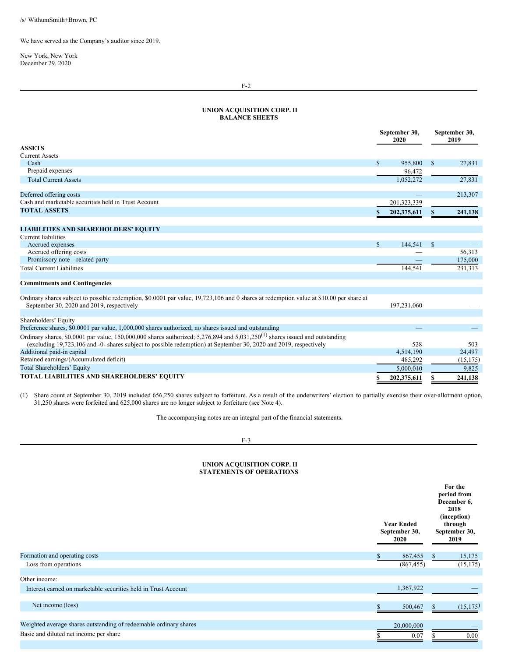We have served as the Company's auditor since 2019.

New York, New York December 29, 2020

# <span id="page-22-0"></span>**UNION ACQUISITION CORP. II BALANCE SHEETS**

|                                                                                                                                                                                                                                                               | September 30,<br>2020 |             | September 30,<br>2019 |           |
|---------------------------------------------------------------------------------------------------------------------------------------------------------------------------------------------------------------------------------------------------------------|-----------------------|-------------|-----------------------|-----------|
| <b>ASSETS</b>                                                                                                                                                                                                                                                 |                       |             |                       |           |
| <b>Current Assets</b>                                                                                                                                                                                                                                         |                       |             |                       |           |
| Cash                                                                                                                                                                                                                                                          | $\mathbb{S}$          | 955,800     | <sup>\$</sup>         | 27,831    |
| Prepaid expenses                                                                                                                                                                                                                                              |                       | 96,472      |                       |           |
| <b>Total Current Assets</b>                                                                                                                                                                                                                                   |                       | 1,052,272   |                       | 27,831    |
| Deferred offering costs                                                                                                                                                                                                                                       |                       |             |                       | 213,307   |
| Cash and marketable securities held in Trust Account                                                                                                                                                                                                          |                       | 201,323,339 |                       |           |
| <b>TOTAL ASSETS</b>                                                                                                                                                                                                                                           |                       | 202,375,611 |                       | 241,138   |
|                                                                                                                                                                                                                                                               |                       |             |                       |           |
| <b>LIABILITIES AND SHAREHOLDERS' EQUITY</b>                                                                                                                                                                                                                   |                       |             |                       |           |
| Current liabilities                                                                                                                                                                                                                                           |                       |             |                       |           |
| Accrued expenses                                                                                                                                                                                                                                              | \$                    | 144,541     | -S                    |           |
| Accrued offering costs                                                                                                                                                                                                                                        |                       |             |                       | 56,313    |
| Promissory note – related party                                                                                                                                                                                                                               |                       |             |                       | 175,000   |
| <b>Total Current Liabilities</b>                                                                                                                                                                                                                              |                       | 144,541     |                       | 231,313   |
| <b>Commitments and Contingencies</b>                                                                                                                                                                                                                          |                       |             |                       |           |
| Ordinary shares subject to possible redemption, \$0.0001 par value, 19,723,106 and 0 shares at redemption value at \$10.00 per share at<br>September 30, 2020 and 2019, respectively                                                                          |                       | 197,231,060 |                       |           |
|                                                                                                                                                                                                                                                               |                       |             |                       |           |
| Shareholders' Equity<br>Preference shares, \$0.0001 par value, 1,000,000 shares authorized; no shares issued and outstanding                                                                                                                                  |                       |             |                       |           |
|                                                                                                                                                                                                                                                               |                       |             |                       |           |
| Ordinary shares, \$0.0001 par value, 150,000,000 shares authorized; 5,276,894 and 5,031,250 <sup>(1)</sup> shares issued and outstanding<br>(excluding 19,723,106 and -0- shares subject to possible redemption) at September 30, 2020 and 2019, respectively |                       | 528         |                       | 503       |
| Additional paid-in capital                                                                                                                                                                                                                                    |                       | 4,514,190   |                       | 24,497    |
| Retained earnings/(Accumulated deficit)                                                                                                                                                                                                                       |                       | 485,292     |                       | (15, 175) |
| Total Shareholders' Equity                                                                                                                                                                                                                                    |                       | 5,000,010   |                       | 9,825     |
| TOTAL LIABILITIES AND SHAREHOLDERS' EQUITY                                                                                                                                                                                                                    |                       | 202,375,611 |                       | 241,138   |

(1) Share count at September 30, 2019 included 656,250 shares subject to forfeiture. As a result of the underwriters' election to partially exercise their over-allotment option, 31,250 shares were forfeited and 625,000 shares are no longer subject to forfeiture (see Note 4).

The accompanying notes are an integral part of the financial statements.

## F-3

# <span id="page-22-1"></span>**UNION ACQUISITION CORP. II STATEMENTS OF OPERATIONS**

|                                                                   | <b>Year Ended</b><br>September 30,<br>2020 | For the<br>period from<br>December 6,<br>2018<br>(inception)<br>through<br>September 30,<br>2019 |
|-------------------------------------------------------------------|--------------------------------------------|--------------------------------------------------------------------------------------------------|
| Formation and operating costs                                     | 867,455                                    | 15,175<br>S                                                                                      |
| Loss from operations                                              | (867, 455)                                 | (15, 175)                                                                                        |
| Other income:                                                     |                                            |                                                                                                  |
| Interest earned on marketable securities held in Trust Account    | 1,367,922                                  |                                                                                                  |
|                                                                   |                                            |                                                                                                  |
| Net income (loss)                                                 | 500,467                                    | (15, 175)                                                                                        |
|                                                                   |                                            |                                                                                                  |
| Weighted average shares outstanding of redeemable ordinary shares | 20,000,000                                 |                                                                                                  |
| Basic and diluted net income per share                            | 0.07                                       | 0.00                                                                                             |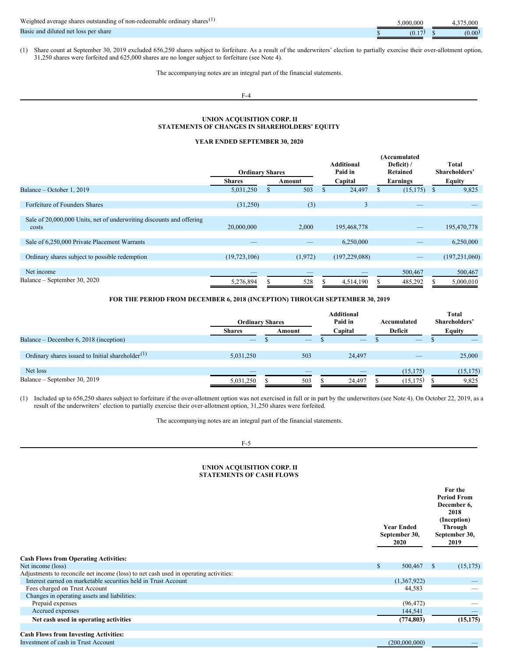| Weighted average shares outstanding of non-redeemable ordinary shares <sup>(1)</sup> | .000.000 | 375.000 |
|--------------------------------------------------------------------------------------|----------|---------|
| Basic and diluted net loss per share                                                 | (0, 1)   | (0.00)  |

(1) Share count at September 30, 2019 excluded 656,250 shares subject to forfeiture. As a result of the underwriters' election to partially exercise their over-allotment option, 31,250 shares were forfeited and 625,000 shares are no longer subject to forfeiture (see Note 4).

The accompanying notes are an integral part of the financial statements.

# F-4

# **UNION ACQUISITION CORP. II STATEMENTS OF CHANGES IN SHAREHOLDERS' EQUITY**

# <span id="page-23-0"></span>**YEAR ENDED SEPTEMBER 30, 2020**

|                                                                      |                        |         |                   | (Accumulated |              |                 |
|----------------------------------------------------------------------|------------------------|---------|-------------------|--------------|--------------|-----------------|
|                                                                      |                        |         | <b>Additional</b> | Deficit)/    |              | Total           |
|                                                                      | <b>Ordinary Shares</b> |         | Paid in           | Retained     |              | Shareholders'   |
|                                                                      | <b>Shares</b>          | Amount  | Capital           | Earnings     |              | Equity          |
| Balance – October 1, 2019                                            | 5,031,250              | 503     | 24,497            | (15, 175)    | <sup>S</sup> | 9,825           |
|                                                                      |                        |         |                   |              |              |                 |
| Forfeiture of Founders Shares                                        | (31,250)               | (3)     | 3                 |              |              |                 |
|                                                                      |                        |         |                   |              |              |                 |
| Sale of 20,000,000 Units, net of underwriting discounts and offering |                        |         |                   |              |              |                 |
| costs                                                                | 20,000,000             | 2,000   | 195,468,778       |              |              | 195,470,778     |
|                                                                      |                        |         |                   |              |              |                 |
| Sale of 6,250,000 Private Placement Warrants                         |                        |         | 6,250,000         |              |              | 6,250,000       |
|                                                                      |                        |         |                   |              |              |                 |
| Ordinary shares subject to possible redemption                       | (19, 723, 106)         | (1,972) | (197, 229, 088)   |              |              | (197, 231, 060) |
|                                                                      |                        |         |                   |              |              |                 |
| Net income                                                           |                        |         |                   | 500,467      |              | 500,467         |
| Balance – September 30, 2020                                         | 5,276,894              | 528     | 4,514,190         | 485,292      |              | 5,000,010       |
|                                                                      |                        |         |                   |              |              |                 |

# **FOR THE PERIOD FROM DECEMBER 6, 2018 (INCEPTION) THROUGH SEPTEMBER 30, 2019**

|                                                              | <b>Ordinary Shares</b> |        | <b>Additional</b><br>Paid in | Accumulated              | <b>Total</b><br>Shareholders' |
|--------------------------------------------------------------|------------------------|--------|------------------------------|--------------------------|-------------------------------|
|                                                              | <b>Shares</b>          | Amount | Capital                      | Deficit                  | <b>Equity</b>                 |
| Balance – December 6, 2018 (inception)                       | $-$                    | $-$    | $\overline{\phantom{a}}$     | $\overline{\phantom{a}}$ |                               |
|                                                              |                        |        |                              |                          |                               |
| Ordinary shares issued to Initial shareholder <sup>(1)</sup> | 5,031,250              | 503    | 24.497                       |                          | 25,000                        |
|                                                              |                        |        |                              |                          |                               |
| Net loss                                                     |                        |        |                              | (15, 175)                | (15, 175)                     |
| Balance – September 30, 2019                                 | 5,031,250              | 503    | 24.497                       | (15, 175)                | 9,825                         |

(1) Included up to 656,250 shares subject to forfeiture if the over-allotment option was not exercised in full or in part by the underwriters (see Note 4). On October 22, 2019, as a result of the underwriters' election to partially exercise their over-allotment option, 31,250 shares were forfeited.

The accompanying notes are an integral part of the financial statements.

# F-5

## <span id="page-23-1"></span>**UNION ACQUISITION CORP. II STATEMENTS OF CASH FLOWS**

| <b>Cash Flows from Operating Activities:</b>                                         | <b>Year Ended</b><br>September 30,<br><b>2020</b> | For the<br><b>Period From</b><br>December 6,<br>2018<br>(Inception)<br>Through<br>September 30,<br>2019 |
|--------------------------------------------------------------------------------------|---------------------------------------------------|---------------------------------------------------------------------------------------------------------|
| Net income (loss)                                                                    | $\mathbb{S}$<br>500,467                           | (15, 175)<br>-S                                                                                         |
| Adjustments to reconcile net income (loss) to net cash used in operating activities: |                                                   |                                                                                                         |
| Interest earned on marketable securities held in Trust Account                       | (1,367,922)                                       |                                                                                                         |
| Fees charged on Trust Account                                                        | 44,583                                            |                                                                                                         |
| Changes in operating assets and liabilities:                                         |                                                   |                                                                                                         |
| Prepaid expenses                                                                     | (96, 472)                                         |                                                                                                         |
| Accrued expenses                                                                     | 144,541                                           |                                                                                                         |
| Net cash used in operating activities                                                | (774, 803)                                        | (15, 175)                                                                                               |
|                                                                                      |                                                   |                                                                                                         |
| <b>Cash Flows from Investing Activities:</b>                                         |                                                   |                                                                                                         |
| Investment of cash in Trust Account                                                  | (200,000,000)                                     |                                                                                                         |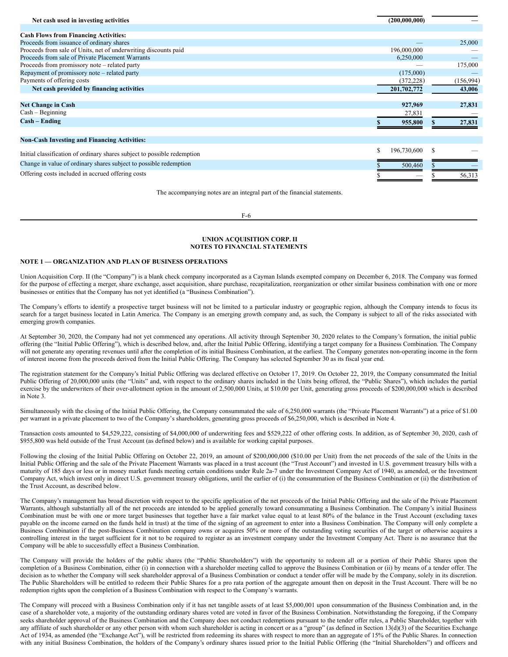| Net cash used in investing activities                                    | (200,000,000) |            |
|--------------------------------------------------------------------------|---------------|------------|
|                                                                          |               |            |
| <b>Cash Flows from Financing Activities:</b>                             |               |            |
| Proceeds from issuance of ordinary shares                                |               | 25,000     |
| Proceeds from sale of Units, net of underwriting discounts paid          | 196,000,000   |            |
| Proceeds from sale of Private Placement Warrants                         | 6,250,000     |            |
| Proceeds from promissory note - related party                            |               | 175,000    |
| Repayment of promissory note – related party                             | (175,000)     |            |
| Payments of offering costs                                               | (372, 228)    | (156, 994) |
| Net cash provided by financing activities                                | 201,702,772   | 43,006     |
| <b>Net Change in Cash</b>                                                | 927,969       | 27,831     |
| $Cash - Beginning$                                                       | 27,831        |            |
| $Cash - Ending$                                                          | 955,800       | 27,831     |
| <b>Non-Cash Investing and Financing Activities:</b>                      |               |            |
| Initial classification of ordinary shares subject to possible redemption | 196,730,600   |            |
| Change in value of ordinary shares subject to possible redemption        | 500,460       |            |
| Offering costs included in accrued offering costs                        |               | 56,313     |

The accompanying notes are an integral part of the financial statements.

F-6

## <span id="page-24-0"></span>**UNION ACQUISITION CORP. II NOTES TO FINANCIAL STATEMENTS**

#### **NOTE 1 — ORGANIZATION AND PLAN OF BUSINESS OPERATIONS**

Union Acquisition Corp. II (the "Company") is a blank check company incorporated as a Cayman Islands exempted company on December 6, 2018. The Company was formed for the purpose of effecting a merger, share exchange, asset acquisition, share purchase, recapitalization, reorganization or other similar business combination with one or more businesses or entities that the Company has not yet identified (a "Business Combination").

The Company's efforts to identify a prospective target business will not be limited to a particular industry or geographic region, although the Company intends to focus its search for a target business located in Latin America. The Company is an emerging growth company and, as such, the Company is subject to all of the risks associated with emerging growth companies.

At September 30, 2020, the Company had not yet commenced any operations. All activity through September 30, 2020 relates to the Company's formation, the initial public offering (the "Initial Public Offering"), which is described below, and, after the Initial Public Offering, identifying a target company for a Business Combination. The Company will not generate any operating revenues until after the completion of its initial Business Combination, at the earliest. The Company generates non-operating income in the form of interest income from the proceeds derived from the Initial Public Offering. The Company has selected September 30 as its fiscal year end.

The registration statement for the Company's Initial Public Offering was declared effective on October 17, 2019. On October 22, 2019, the Company consummated the Initial Public Offering of 20,000,000 units (the "Units" and, with respect to the ordinary shares included in the Units being offered, the "Public Shares"), which includes the partial exercise by the underwriters of their over-allotment option in the amount of 2,500,000 Units, at \$10.00 per Unit, generating gross proceeds of \$200,000,000 which is described in Note 3.

Simultaneously with the closing of the Initial Public Offering, the Company consummated the sale of 6,250,000 warrants (the "Private Placement Warrants") at a price of \$1.00 per warrant in a private placement to two of the Company's shareholders, generating gross proceeds of \$6,250,000, which is described in Note 4.

Transaction costs amounted to \$4,529,222, consisting of \$4,000,000 of underwriting fees and \$529,222 of other offering costs. In addition, as of September 30, 2020, cash of \$955,800 was held outside of the Trust Account (as defined below) and is available for working capital purposes.

Following the closing of the Initial Public Offering on October 22, 2019, an amount of \$200,000,000 (\$10.00 per Unit) from the net proceeds of the sale of the Units in the Initial Public Offering and the sale of the Private Placement Warrants was placed in a trust account (the "Trust Account") and invested in U.S. government treasury bills with a maturity of 185 days or less or in money market funds meeting certain conditions under Rule 2a-7 under the Investment Company Act of 1940, as amended, or the Investment Company Act, which invest only in direct U.S. government treasury obligations, until the earlier of (i) the consummation of the Business Combination or (ii) the distribution of the Trust Account, as described below.

The Company's management has broad discretion with respect to the specific application of the net proceeds of the Initial Public Offering and the sale of the Private Placement Warrants, although substantially all of the net proceeds are intended to be applied generally toward consummating a Business Combination. The Company's initial Business Combination must be with one or more target businesses that together have a fair market value equal to at least 80% of the balance in the Trust Account (excluding taxes payable on the income earned on the funds held in trust) at the time of the signing of an agreement to enter into a Business Combination. The Company will only complete a Business Combination if the post-Business Combination company owns or acquires 50% or more of the outstanding voting securities of the target or otherwise acquires a controlling interest in the target sufficient for it not to be required to register as an investment company under the Investment Company Act. There is no assurance that the Company will be able to successfully effect a Business Combination.

The Company will provide the holders of the public shares (the "Public Shareholders") with the opportunity to redeem all or a portion of their Public Shares upon the completion of a Business Combination, either (i) in connection with a shareholder meeting called to approve the Business Combination or (ii) by means of a tender offer. The decision as to whether the Company will seek shareholder approval of a Business Combination or conduct a tender offer will be made by the Company, solely in its discretion. The Public Shareholders will be entitled to redeem their Public Shares for a pro rata portion of the aggregate amount then on deposit in the Trust Account. There will be no redemption rights upon the completion of a Business Combination with respect to the Company's warrants.

The Company will proceed with a Business Combination only if it has net tangible assets of at least \$5,000,001 upon consummation of the Business Combination and, in the case of a shareholder vote, a majority of the outstanding ordinary shares voted are voted in favor of the Business Combination. Notwithstanding the foregoing, if the Company seeks shareholder approval of the Business Combination and the Company does not conduct redemptions pursuant to the tender offer rules, a Public Shareholder, together with any affiliate of such shareholder or any other person with whom such shareholder is acting in concert or as a "group" (as defined in Section 13(d)(3) of the Securities Exchange Act of 1934, as amended (the "Exchange Act"), will be restricted from redeeming its shares with respect to more than an aggregate of 15% of the Public Shares. In connection with any initial Business Combination, the holders of the Company's ordinary shares issued prior to the Initial Public Offering (the "Initial Shareholders") and officers and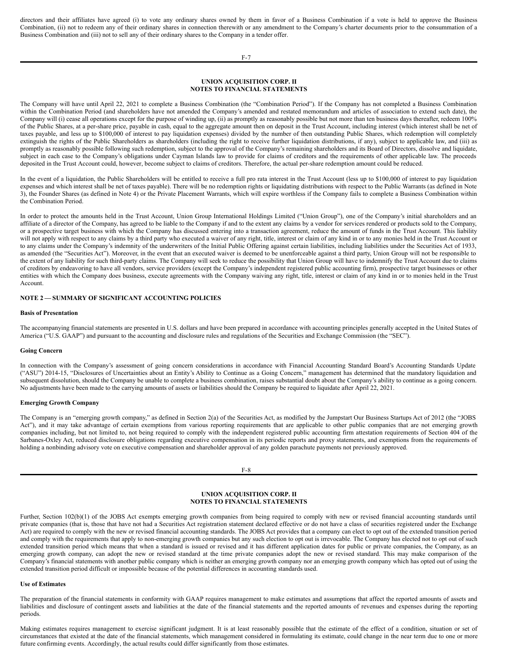directors and their affiliates have agreed (i) to vote any ordinary shares owned by them in favor of a Business Combination if a vote is held to approve the Business Combination, (ii) not to redeem any of their ordinary shares in connection therewith or any amendment to the Company's charter documents prior to the consummation of a Business Combination and (iii) not to sell any of their ordinary shares to the Company in a tender offer.

## **UNION ACQUISITION CORP. II NOTES TO FINANCIAL STATEMENTS**

The Company will have until April 22, 2021 to complete a Business Combination (the "Combination Period"). If the Company has not completed a Business Combination within the Combination Period (and shareholders have not amended the Company's amended and restated memorandum and articles of association to extend such date), the Company will (i) cease all operations except for the purpose of winding up, (ii) as promptly as reasonably possible but not more than ten business days thereafter, redeem 100% of the Public Shares, at a per-share price, payable in cash, equal to the aggregate amount then on deposit in the Trust Account, including interest (which interest shall be net of taxes payable, and less up to \$100,000 of interest to pay liquidation expenses) divided by the number of then outstanding Public Shares, which redemption will completely extinguish the rights of the Public Shareholders as shareholders (including the right to receive further liquidation distributions, if any), subject to applicable law, and (iii) as promptly as reasonably possible following such redemption, subject to the approval of the Company's remaining shareholders and its Board of Directors, dissolve and liquidate, subject in each case to the Company's obligations under Cayman Islands law to provide for claims of creditors and the requirements of other applicable law. The proceeds deposited in the Trust Account could, however, become subject to claims of creditors. Therefore, the actual per-share redemption amount could be reduced.

In the event of a liquidation, the Public Shareholders will be entitled to receive a full pro rata interest in the Trust Account (less up to \$100,000 of interest to pay liquidation expenses and which interest shall be net of taxes payable). There will be no redemption rights or liquidating distributions with respect to the Public Warrants (as defined in Note 3), the Founder Shares (as defined in Note 4) or the Private Placement Warrants, which will expire worthless if the Company fails to complete a Business Combination within the Combination Period.

In order to protect the amounts held in the Trust Account, Union Group International Holdings Limited ("Union Group"), one of the Company's initial shareholders and an affiliate of a director of the Company, has agreed to be liable to the Company if and to the extent any claims by a vendor for services rendered or products sold to the Company, or a prospective target business with which the Company has discussed entering into a transaction agreement, reduce the amount of funds in the Trust Account. This liability will not apply with respect to any claims by a third party who executed a waiver of any right, title, interest or claim of any kind in or to any monies held in the Trust Account or to any claims under the Company's indemnity of the underwriters of the Initial Public Offering against certain liabilities, including liabilities under the Securities Act of 1933, as amended (the "Securities Act"). Moreover, in the event that an executed waiver is deemed to be unenforceable against a third party, Union Group will not be responsible to the extent of any liability for such third-party claims. The Company will seek to reduce the possibility that Union Group will have to indemnify the Trust Account due to claims of creditors by endeavoring to have all vendors, service providers (except the Company's independent registered public accounting firm), prospective target businesses or other entities with which the Company does business, execute agreements with the Company waiving any right, title, interest or claim of any kind in or to monies held in the Trust Account.

# **NOTE 2 — SUMMARY OF SIGNIFICANT ACCOUNTING POLICIES**

## **Basis of Presentation**

The accompanying financial statements are presented in U.S. dollars and have been prepared in accordance with accounting principles generally accepted in the United States of America ("U.S. GAAP") and pursuant to the accounting and disclosure rules and regulations of the Securities and Exchange Commission (the "SEC").

## **Going Concern**

In connection with the Company's assessment of going concern considerations in accordance with Financial Accounting Standard Board's Accounting Standards Update ("ASU") 2014-15, "Disclosures of Uncertainties about an Entity's Ability to Continue as a Going Concern," management has determined that the mandatory liquidation and subsequent dissolution, should the Company be unable to complete a business combination, raises substantial doubt about the Company's ability to continue as a going concern. No adjustments have been made to the carrying amounts of assets or liabilities should the Company be required to liquidate after April 22, 2021.

#### **Emerging Growth Company**

The Company is an "emerging growth company," as defined in Section 2(a) of the Securities Act, as modified by the Jumpstart Our Business Startups Act of 2012 (the "JOBS Act"), and it may take advantage of certain exemptions from various reporting requirements that are applicable to other public companies that are not emerging growth companies including, but not limited to, not being required to comply with the independent registered public accounting firm attestation requirements of Section 404 of the Sarbanes-Oxley Act, reduced disclosure obligations regarding executive compensation in its periodic reports and proxy statements, and exemptions from the requirements of holding a nonbinding advisory vote on executive compensation and shareholder approval of any golden parachute payments not previously approved.

F-8

## **UNION ACQUISITION CORP. II NOTES TO FINANCIAL STATEMENTS**

Further, Section 102(b)(1) of the JOBS Act exempts emerging growth companies from being required to comply with new or revised financial accounting standards until private companies (that is, those that have not had a Securities Act registration statement declared effective or do not have a class of securities registered under the Exchange Act) are required to comply with the new or revised financial accounting standards. The JOBS Act provides that a company can elect to opt out of the extended transition period and comply with the requirements that apply to non-emerging growth companies but any such election to opt out is irrevocable. The Company has elected not to opt out of such extended transition period which means that when a standard is issued or revised and it has different application dates for public or private companies, the Company, as an emerging growth company, can adopt the new or revised standard at the time private companies adopt the new or revised standard. This may make comparison of the Company's financial statements with another public company which is neither an emerging growth company nor an emerging growth company which has opted out of using the extended transition period difficult or impossible because of the potential differences in accounting standards used.

#### **Use of Estimates**

The preparation of the financial statements in conformity with GAAP requires management to make estimates and assumptions that affect the reported amounts of assets and liabilities and disclosure of contingent assets and liabilities at the date of the financial statements and the reported amounts of revenues and expenses during the reporting periods.

Making estimates requires management to exercise significant judgment. It is at least reasonably possible that the estimate of the effect of a condition, situation or set of circumstances that existed at the date of the financial statements, which management considered in formulating its estimate, could change in the near term due to one or more future confirming events. Accordingly, the actual results could differ significantly from those estimates.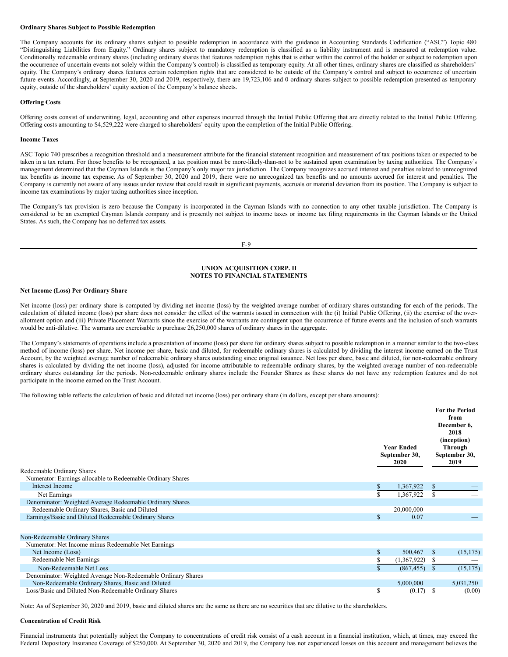#### **Ordinary Shares Subject to Possible Redemption**

The Company accounts for its ordinary shares subject to possible redemption in accordance with the guidance in Accounting Standards Codification ("ASC") Topic 480 "Distinguishing Liabilities from Equity." Ordinary shares subject to mandatory redemption is classified as a liability instrument and is measured at redemption value. Conditionally redeemable ordinary shares (including ordinary shares that features redemption rights that is either within the control of the holder or subject to redemption upon the occurrence of uncertain events not solely within the Company's control) is classified as temporary equity. At all other times, ordinary shares are classified as shareholders' equity. The Company's ordinary shares features certain redemption rights that are considered to be outside of the Company's control and subject to occurrence of uncertain future events. Accordingly, at September 30, 2020 and 2019, respectively, there are 19,723,106 and 0 ordinary shares subject to possible redemption presented as temporary equity, outside of the shareholders' equity section of the Company's balance sheets.

#### **Offering Costs**

Offering costs consist of underwriting, legal, accounting and other expenses incurred through the Initial Public Offering that are directly related to the Initial Public Offering. Offering costs amounting to \$4,529,222 were charged to shareholders' equity upon the completion of the Initial Public Offering.

#### **Income Taxes**

ASC Topic 740 prescribes a recognition threshold and a measurement attribute for the financial statement recognition and measurement of tax positions taken or expected to be taken in a tax return. For those benefits to be recognized, a tax position must be more-likely-than-not to be sustained upon examination by taxing authorities. The Company's management determined that the Cayman Islands is the Company's only major tax jurisdiction. The Company recognizes accrued interest and penalties related to unrecognized tax benefits as income tax expense. As of September 30, 2020 and 2019, there were no unrecognized tax benefits and no amounts accrued for interest and penalties. The Company is currently not aware of any issues under review that could result in significant payments, accruals or material deviation from its position. The Company is subject to income tax examinations by major taxing authorities since inception.

The Company's tax provision is zero because the Company is incorporated in the Cayman Islands with no connection to any other taxable jurisdiction. The Company is considered to be an exempted Cayman Islands company and is presently not subject to income taxes or income tax filing requirements in the Cayman Islands or the United States. As such, the Company has no deferred tax assets.

#### F-9

# **UNION ACQUISITION CORP. II NOTES TO FINANCIAL STATEMENTS**

## **Net Income (Loss) Per Ordinary Share**

Net income (loss) per ordinary share is computed by dividing net income (loss) by the weighted average number of ordinary shares outstanding for each of the periods. The calculation of diluted income (loss) per share does not consider the effect of the warrants issued in connection with the (i) Initial Public Offering, (ii) the exercise of the overallotment option and (iii) Private Placement Warrants since the exercise of the warrants are contingent upon the occurrence of future events and the inclusion of such warrants would be anti-dilutive. The warrants are exercisable to purchase 26,250,000 shares of ordinary shares in the aggregate.

The Company's statements of operations include a presentation of income (loss) per share for ordinary shares subject to possible redemption in a manner similar to the two-class method of income (loss) per share. Net income per share, basic and diluted, for redeemable ordinary shares is calculated by dividing the interest income earned on the Trust Account, by the weighted average number of redeemable ordinary shares outstanding since original issuance. Net loss per share, basic and diluted, for non-redeemable ordinary shares is calculated by dividing the net income (loss), adjusted for income attributable to redeemable ordinary shares, by the weighted average number of non-redeemable ordinary shares outstanding for the periods. Non-redeemable ordinary shares include the Founder Shares as these shares do not have any redemption features and do not participate in the income earned on the Trust Account.

The following table reflects the calculation of basic and diluted net income (loss) per ordinary share (in dollars, except per share amounts):

| Redeemable Ordinary Shares                                   |              | <b>Year Ended</b><br>September 30,<br><b>2020</b> |               | <b>For the Period</b><br>from<br>December 6,<br>2018<br>(inception)<br>Through<br>September 30,<br>2019 |
|--------------------------------------------------------------|--------------|---------------------------------------------------|---------------|---------------------------------------------------------------------------------------------------------|
| Numerator: Earnings allocable to Redeemable Ordinary Shares  |              |                                                   |               |                                                                                                         |
| Interest Income                                              | S.           | 1,367,922                                         | S             |                                                                                                         |
| Net Earnings                                                 | S            | 1,367,922                                         |               |                                                                                                         |
| Denominator: Weighted Average Redeemable Ordinary Shares     |              |                                                   |               |                                                                                                         |
| Redeemable Ordinary Shares, Basic and Diluted                |              | 20,000,000                                        |               |                                                                                                         |
| Earnings/Basic and Diluted Redeemable Ordinary Shares        | \$           | 0.07                                              |               |                                                                                                         |
|                                                              |              |                                                   |               |                                                                                                         |
| Non-Redeemable Ordinary Shares                               |              |                                                   |               |                                                                                                         |
| Numerator: Net Income minus Redeemable Net Earnings          |              |                                                   |               |                                                                                                         |
| Net Income (Loss)                                            | $\mathbb{S}$ | 500,467                                           | <sup>\$</sup> | (15, 175)                                                                                               |
| <b>Redeemable Net Earnings</b>                               | ς            | (1,367,922)                                       | S.            |                                                                                                         |
| Non-Redeemable Net Loss                                      |              | (867, 455)                                        | <sup>\$</sup> | (15, 175)                                                                                               |
| Denominator: Weighted Average Non-Redeemable Ordinary Shares |              |                                                   |               |                                                                                                         |
| Non-Redeemable Ordinary Shares, Basic and Diluted            |              | 5,000,000                                         |               | 5,031,250                                                                                               |
| Loss/Basic and Diluted Non-Redeemable Ordinary Shares        | \$           | (0.17)                                            | <sup>\$</sup> | (0.00)                                                                                                  |

Note: As of September 30, 2020 and 2019, basic and diluted shares are the same as there are no securities that are dilutive to the shareholders.

## **Concentration of Credit Risk**

Financial instruments that potentially subject the Company to concentrations of credit risk consist of a cash account in a financial institution, which, at times, may exceed the Federal Depository Insurance Coverage of \$250,000. At September 30, 2020 and 2019, the Company has not experienced losses on this account and management believes the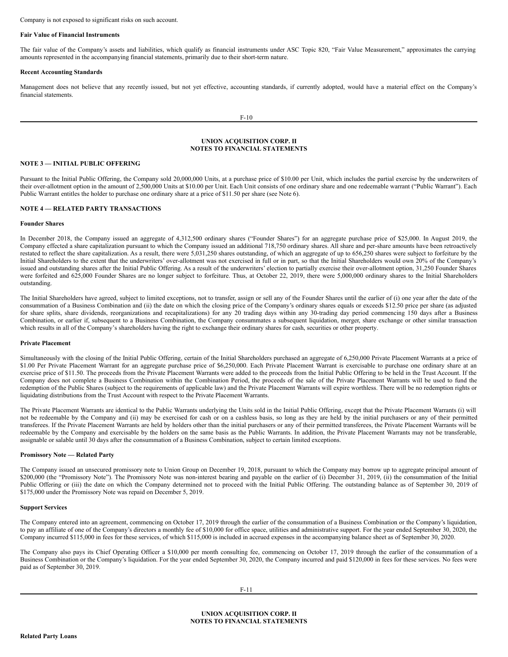Company is not exposed to significant risks on such account.

## **Fair Value of Financial Instruments**

The fair value of the Company's assets and liabilities, which qualify as financial instruments under ASC Topic 820, "Fair Value Measurement," approximates the carrying amounts represented in the accompanying financial statements, primarily due to their short-term nature.

## **Recent Accounting Standards**

Management does not believe that any recently issued, but not yet effective, accounting standards, if currently adopted, would have a material effect on the Company's financial statements.

## **UNION ACQUISITION CORP. II NOTES TO FINANCIAL STATEMENTS**

## **NOTE 3 — INITIAL PUBLIC OFFERING**

Pursuant to the Initial Public Offering, the Company sold 20,000,000 Units, at a purchase price of \$10.00 per Unit, which includes the partial exercise by the underwriters of their over-allotment option in the amount of 2,500,000 Units at \$10.00 per Unit. Each Unit consists of one ordinary share and one redeemable warrant ("Public Warrant"). Each Public Warrant entitles the holder to purchase one ordinary share at a price of \$11.50 per share (see Note 6).

## **NOTE 4 — RELATED PARTY TRANSACTIONS**

## **Founder Shares**

In December 2018, the Company issued an aggregate of 4,312,500 ordinary shares ("Founder Shares") for an aggregate purchase price of \$25,000. In August 2019, the Company effected a share capitalization pursuant to which the Company issued an additional 718,750 ordinary shares. All share and per-share amounts have been retroactively restated to reflect the share capitalization. As a result, there were 5,031,250 shares outstanding, of which an aggregate of up to 656,250 shares were subject to forfeiture by the Initial Shareholders to the extent that the underwriters' over-allotment was not exercised in full or in part, so that the Initial Shareholders would own 20% of the Company's issued and outstanding shares after the Initial Public Offering. As a result of the underwriters' election to partially exercise their over-allotment option, 31,250 Founder Shares were forfeited and 625,000 Founder Shares are no longer subject to forfeiture. Thus, at October 22, 2019, there were 5,000,000 ordinary shares to the Initial Shareholders outstanding.

The Initial Shareholders have agreed, subject to limited exceptions, not to transfer, assign or sell any of the Founder Shares until the earlier of (i) one year after the date of the consummation of a Business Combination and (ii) the date on which the closing price of the Company's ordinary shares equals or exceeds \$12.50 price per share (as adjusted for share splits, share dividends, reorganizations and recapitalizations) for any 20 trading days within any 30-trading day period commencing 150 days after a Business Combination, or earlier if, subsequent to a Business Combination, the Company consummates a subsequent liquidation, merger, share exchange or other similar transaction which results in all of the Company's shareholders having the right to exchange their ordinary shares for cash, securities or other property.

#### **Private Placement**

Simultaneously with the closing of the Initial Public Offering, certain of the Initial Shareholders purchased an aggregate of 6,250,000 Private Placement Warrants at a price of \$1.00 Per Private Placement Warrant for an aggregate purchase price of \$6,250,000. Each Private Placement Warrant is exercisable to purchase one ordinary share at an exercise price of \$11.50. The proceeds from the Private Placement Warrants were added to the proceeds from the Initial Public Offering to be held in the Trust Account. If the Company does not complete a Business Combination within the Combination Period, the proceeds of the sale of the Private Placement Warrants will be used to fund the redemption of the Public Shares (subject to the requirements of applicable law) and the Private Placement Warrants will expire worthless. There will be no redemption rights or liquidating distributions from the Trust Account with respect to the Private Placement Warrants.

The Private Placement Warrants are identical to the Public Warrants underlying the Units sold in the Initial Public Offering, except that the Private Placement Warrants (i) will not be redeemable by the Company and (ii) may be exercised for cash or on a cashless basis, so long as they are held by the initial purchasers or any of their permitted transferees. If the Private Placement Warrants are held by holders other than the initial purchasers or any of their permitted transferees, the Private Placement Warrants will be redeemable by the Company and exercisable by the holders on the same basis as the Public Warrants. In addition, the Private Placement Warrants may not be transferable, assignable or salable until 30 days after the consummation of a Business Combination, subject to certain limited exceptions.

## **Promissory Note — Related Party**

The Company issued an unsecured promissory note to Union Group on December 19, 2018, pursuant to which the Company may borrow up to aggregate principal amount of \$200,000 (the "Promissory Note"). The Promissory Note was non-interest bearing and payable on the earlier of (i) December 31, 2019, (ii) the consummation of the Initial Public Offering or (iii) the date on which the Company determined not to proceed with the Initial Public Offering. The outstanding balance as of September 30, 2019 of \$175,000 under the Promissory Note was repaid on December 5, 2019.

#### **Support Services**

The Company entered into an agreement, commencing on October 17, 2019 through the earlier of the consummation of a Business Combination or the Company's liquidation, to pay an affiliate of one of the Company's directors a monthly fee of \$10,000 for office space, utilities and administrative support. For the year ended September 30, 2020, the Company incurred \$115,000 in fees for these services, of which \$115,000 is included in accrued expenses in the accompanying balance sheet as of September 30, 2020.

The Company also pays its Chief Operating Officer a \$10,000 per month consulting fee, commencing on October 17, 2019 through the earlier of the consummation of a Business Combination or the Company's liquidation. For the year ended September 30, 2020, the Company incurred and paid \$120,000 in fees for these services. No fees were paid as of September 30, 2019.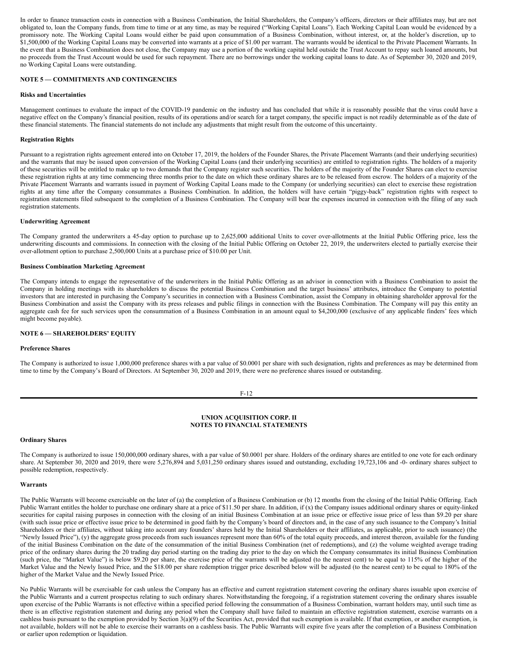In order to finance transaction costs in connection with a Business Combination, the Initial Shareholders, the Company's officers, directors or their affiliates may, but are not obligated to, loan the Company funds, from time to time or at any time, as may be required ("Working Capital Loans"). Each Working Capital Loan would be evidenced by a promissory note. The Working Capital Loans would either be paid upon consummation of a Business Combination, without interest, or, at the holder's discretion, up to \$1,500,000 of the Working Capital Loans may be converted into warrants at a price of \$1.00 per warrant. The warrants would be identical to the Private Placement Warrants. In the event that a Business Combination does not close, the Company may use a portion of the working capital held outside the Trust Account to repay such loaned amounts, but no proceeds from the Trust Account would be used for such repayment. There are no borrowings under the working capital loans to date. As of September 30, 2020 and 2019, no Working Capital Loans were outstanding.

## **NOTE 5 — COMMITMENTS AND CONTINGENCIES**

#### **Risks and Uncertainties**

Management continues to evaluate the impact of the COVID-19 pandemic on the industry and has concluded that while it is reasonably possible that the virus could have a negative effect on the Company's financial position, results of its operations and/or search for a target company, the specific impact is not readily determinable as of the date of these financial statements. The financial statements do not include any adjustments that might result from the outcome of this uncertainty.

#### **Registration Rights**

Pursuant to a registration rights agreement entered into on October 17, 2019, the holders of the Founder Shares, the Private Placement Warrants (and their underlying securities) and the warrants that may be issued upon conversion of the Working Capital Loans (and their underlying securities) are entitled to registration rights. The holders of a majority of these securities will be entitled to make up to two demands that the Company register such securities. The holders of the majority of the Founder Shares can elect to exercise these registration rights at any time commencing three months prior to the date on which these ordinary shares are to be released from escrow. The holders of a majority of the Private Placement Warrants and warrants issued in payment of Working Capital Loans made to the Company (or underlying securities) can elect to exercise these registration rights at any time after the Company consummates a Business Combination. In addition, the holders will have certain "piggy-back" registration rights with respect to registration statements filed subsequent to the completion of a Business Combination. The Company will bear the expenses incurred in connection with the filing of any such registration statements.

# **Underwriting Agreement**

The Company granted the underwriters a 45-day option to purchase up to 2,625,000 additional Units to cover over-allotments at the Initial Public Offering price, less the underwriting discounts and commissions. In connection with the closing of the Initial Public Offering on October 22, 2019, the underwriters elected to partially exercise their over-allotment option to purchase 2,500,000 Units at a purchase price of \$10.00 per Unit.

#### **Business Combination Marketing Agreement**

The Company intends to engage the representative of the underwriters in the Initial Public Offering as an advisor in connection with a Business Combination to assist the Company in holding meetings with its shareholders to discuss the potential Business Combination and the target business' attributes, introduce the Company to potential investors that are interested in purchasing the Company's securities in connection with a Business Combination, assist the Company in obtaining shareholder approval for the Business Combination and assist the Company with its press releases and public filings in connection with the Business Combination. The Company will pay this entity an aggregate cash fee for such services upon the consummation of a Business Combination in an amount equal to \$4,200,000 (exclusive of any applicable finders' fees which might become payable).

## **NOTE 6 — SHAREHOLDERS' EQUITY**

#### **Preference Shares**

The Company is authorized to issue 1,000,000 preference shares with a par value of \$0.0001 per share with such designation, rights and preferences as may be determined from time to time by the Company's Board of Directors. At September 30, 2020 and 2019, there were no preference shares issued or outstanding.

#### F-12

#### **UNION ACQUISITION CORP. II NOTES TO FINANCIAL STATEMENTS**

#### **Ordinary Shares**

The Company is authorized to issue 150,000,000 ordinary shares, with a par value of \$0.0001 per share. Holders of the ordinary shares are entitled to one vote for each ordinary share. At September 30, 2020 and 2019, there were 5,276,894 and 5,031,250 ordinary shares issued and outstanding, excluding 19,723,106 and -0- ordinary shares subject to possible redemption, respectively.

#### **Warrants**

The Public Warrants will become exercisable on the later of (a) the completion of a Business Combination or (b) 12 months from the closing of the Initial Public Offering. Each Public Warrant entitles the holder to purchase one ordinary share at a price of \$11.50 per share. In addition, if (x) the Company issues additional ordinary shares or equity-linked securities for capital raising purposes in connection with the closing of an initial Business Combination at an issue price or effective issue price of less than \$9.20 per share (with such issue price or effective issue price to be determined in good faith by the Company's board of directors and, in the case of any such issuance to the Company's Initial Shareholders or their affiliates, without taking into account any founders' shares held by the Initial Shareholders or their affiliates, as applicable, prior to such issuance) (the "Newly Issued Price"), (y) the aggregate gross proceeds from such issuances represent more than 60% of the total equity proceeds, and interest thereon, available for the funding of the initial Business Combination on the date of the consummation of the initial Business Combination (net of redemptions), and (z) the volume weighted average trading price of the ordinary shares during the 20 trading day period starting on the trading day prior to the day on which the Company consummates its initial Business Combination (such price, the "Market Value") is below \$9.20 per share, the exercise price of the warrants will be adjusted (to the nearest cent) to be equal to 115% of the higher of the Market Value and the Newly Issued Price, and the \$18.00 per share redemption trigger price described below will be adjusted (to the nearest cent) to be equal to 180% of the higher of the Market Value and the Newly Issued Price.

No Public Warrants will be exercisable for cash unless the Company has an effective and current registration statement covering the ordinary shares issuable upon exercise of the Public Warrants and a current prospectus relating to such ordinary shares. Notwithstanding the foregoing, if a registration statement covering the ordinary shares issuable upon exercise of the Public Warrants is not effective within a specified period following the consummation of a Business Combination, warrant holders may, until such time as there is an effective registration statement and during any period when the Company shall have failed to maintain an effective registration statement, exercise warrants on a cashless basis pursuant to the exemption provided by Section 3(a)(9) of the Securities Act, provided that such exemption is available. If that exemption, or another exemption, is not available, holders will not be able to exercise their warrants on a cashless basis. The Public Warrants will expire five years after the completion of a Business Combination or earlier upon redemption or liquidation.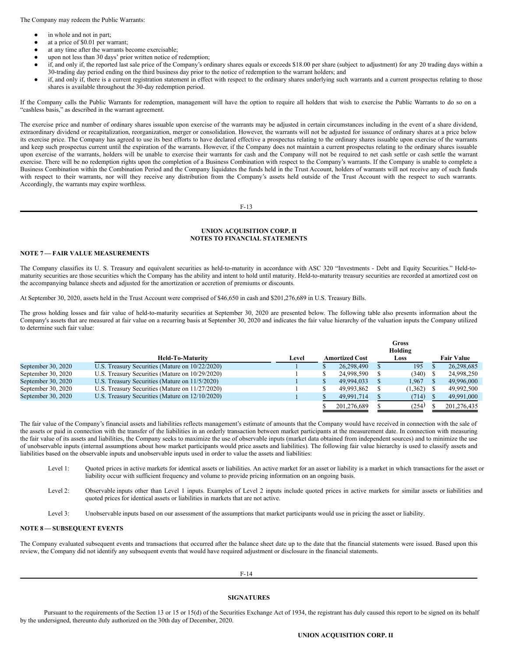The Company may redeem the Public Warrants:

- in whole and not in part;
- at a price of \$0.01 per warrant;
- at any time after the warrants become exercisable;
- upon not less than 30 days' prior written notice of redemption;
- if, and only if, the reported last sale price of the Company's ordinary shares equals or exceeds \$18.00 per share (subject to adjustment) for any 20 trading days within a 30-trading day period ending on the third business day prior to the notice of redemption to the warrant holders; and
- if, and only if, there is a current registration statement in effect with respect to the ordinary shares underlying such warrants and a current prospectus relating to those shares is available throughout the 30-day redemption period.

If the Company calls the Public Warrants for redemption, management will have the option to require all holders that wish to exercise the Public Warrants to do so on a "cashless basis," as described in the warrant agreement.

The exercise price and number of ordinary shares issuable upon exercise of the warrants may be adjusted in certain circumstances including in the event of a share dividend, extraordinary dividend or recapitalization, reorganization, merger or consolidation. However, the warrants will not be adjusted for issuance of ordinary shares at a price below its exercise price. The Company has agreed to use its best efforts to have declared effective a prospectus relating to the ordinary shares issuable upon exercise of the warrants and keep such prospectus current until the expiration of the warrants. However, if the Company does not maintain a current prospectus relating to the ordinary shares issuable upon exercise of the warrants, holders will be unable to exercise their warrants for cash and the Company will not be required to net cash settle or cash settle the warrant exercise. There will be no redemption rights upon the completion of a Business Combination with respect to the Company's warrants. If the Company is unable to complete a Business Combination within the Combination Period and the Company liquidates the funds held in the Trust Account, holders of warrants will not receive any of such funds with respect to their warrants, nor will they receive any distribution from the Company's assets held outside of the Trust Account with the respect to such warrants. Accordingly, the warrants may expire worthless.

F-13

## **UNION ACQUISITION CORP. II NOTES TO FINANCIAL STATEMENTS**

#### **NOTE 7 — FAIR VALUE MEASUREMENTS**

The Company classifies its U. S. Treasury and equivalent securities as held-to-maturity in accordance with ASC 320 "Investments - Debt and Equity Securities." Held-tomaturity securities are those securities which the Company has the ability and intent to hold until maturity. Held-to-maturity treasury securities are recorded at amortized cost on the accompanying balance sheets and adjusted for the amortization or accretion of premiums or discounts.

At September 30, 2020, assets held in the Trust Account were comprised of \$46,650 in cash and \$201,276,689 in U.S. Treasury Bills.

The gross holding losses and fair value of held-to-maturity securities at September 30, 2020 are presented below. The following table also presents information about the Company's assets that are measured at fair value on a recurring basis at September 30, 2020 and indicates the fair value hierarchy of the valuation inputs the Company utilized to determine such fair value:

|                    |                                                 | Gross<br>Holding |  |                       |  |         |  |                   |  |
|--------------------|-------------------------------------------------|------------------|--|-----------------------|--|---------|--|-------------------|--|
|                    | <b>Held-To-Maturity</b>                         | Level            |  | <b>Amortized Cost</b> |  | Loss    |  | <b>Fair Value</b> |  |
| September 30, 2020 | U.S. Treasury Securities (Mature on 10/22/2020) |                  |  | 26,298,490            |  | 195     |  | 26,298,685        |  |
| September 30, 2020 | U.S. Treasury Securities (Mature on 10/29/2020) |                  |  | 24,998,590            |  | (340)   |  | 24,998,250        |  |
| September 30, 2020 | U.S. Treasury Securities (Mature on 11/5/2020)  |                  |  | 49.994.033            |  | 1.967   |  | 49,996,000        |  |
| September 30, 2020 | U.S. Treasury Securities (Mature on 11/27/2020) |                  |  | 49.993.862            |  | (1,362) |  | 49,992,500        |  |
| September 30, 2020 | U.S. Treasury Securities (Mature on 12/10/2020) |                  |  | 49.991.714            |  | (714)   |  | 49,991,000        |  |
|                    |                                                 |                  |  | 201.276.689           |  | (254)   |  | 201.276.435       |  |

The fair value of the Company's financial assets and liabilities reflects management's estimate of amounts that the Company would have received in connection with the sale of the assets or paid in connection with the transfer of the liabilities in an orderly transaction between market participants at the measurement date. In connection with measuring the fair value of its assets and liabilities, the Company seeks to maximize the use of observable inputs (market data obtained from independent sources) and to minimize the use of unobservable inputs (internal assumptions about how market participants would price assets and liabilities). The following fair value hierarchy is used to classify assets and liabilities based on the observable inputs and unobservable inputs used in order to value the assets and liabilities:

- Level 1: Ouoted prices in active markets for identical assets or liabilities. An active market for an asset or liability is a market in which transactions for the asset or liability occur with sufficient frequency and volume to provide pricing information on an ongoing basis.
- Level 2: Observable inputs other than Level 1 inputs. Examples of Level 2 inputs include quoted prices in active markets for similar assets or liabilities and quoted prices for identical assets or liabilities in markets that are not active.

Level 3: Unobservable inputs based on our assessment of the assumptions that market participants would use in pricing the asset or liability.

# **NOTE 8 — SUBSEQUENT EVENTS**

The Company evaluated subsequent events and transactions that occurred after the balance sheet date up to the date that the financial statements were issued. Based upon this review, the Company did not identify any subsequent events that would have required adjustment or disclosure in the financial statements.

F-14

# **SIGNATURES**

Pursuant to the requirements of the Section 13 or 15 or 15(d) of the Securities Exchange Act of 1934, the registrant has duly caused this report to be signed on its behalf by the undersigned, thereunto duly authorized on the 30th day of December, 2020.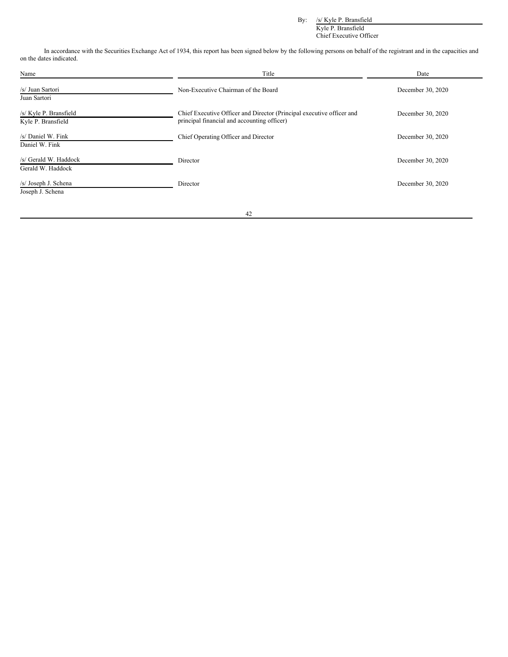By: /s/ Kyle P. Bransfield

Kyle P. Bransfield Chief Executive Officer

In accordance with the Securities Exchange Act of 1934, this report has been signed below by the following persons on behalf of the registrant and in the capacities and on the dates indicated.

| Name                                         | Title                                                                                                                | Date              |
|----------------------------------------------|----------------------------------------------------------------------------------------------------------------------|-------------------|
| /s/ Juan Sartori<br>Juan Sartori             | Non-Executive Chairman of the Board                                                                                  | December 30, 2020 |
| /s/ Kyle P. Bransfield<br>Kyle P. Bransfield | Chief Executive Officer and Director (Principal executive officer and<br>principal financial and accounting officer) | December 30, 2020 |
| /s/ Daniel W. Fink<br>Daniel W. Fink         | Chief Operating Officer and Director                                                                                 | December 30, 2020 |
| /s/ Gerald W. Haddock<br>Gerald W. Haddock   | Director                                                                                                             | December 30, 2020 |
| /s/ Joseph J. Schena<br>Joseph J. Schena     | Director                                                                                                             | December 30, 2020 |

42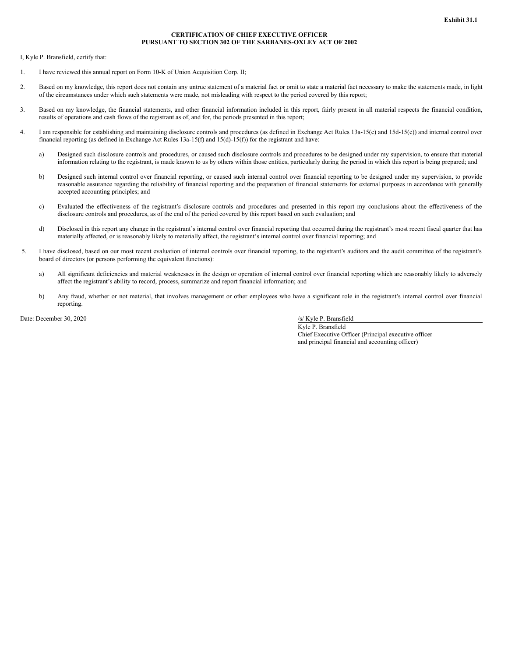## **CERTIFICATION OF CHIEF EXECUTIVE OFFICER PURSUANT TO SECTION 302 OF THE SARBANES-OXLEY ACT OF 2002**

<span id="page-31-0"></span>I, Kyle P. Bransfield, certify that:

- 1. I have reviewed this annual report on Form 10-K of Union Acquisition Corp. II;
- 2. Based on my knowledge, this report does not contain any untrue statement of a material fact or omit to state a material fact necessary to make the statements made, in light of the circumstances under which such statements were made, not misleading with respect to the period covered by this report;
- 3. Based on my knowledge, the financial statements, and other financial information included in this report, fairly present in all material respects the financial condition, results of operations and cash flows of the registrant as of, and for, the periods presented in this report;
- 4. I am responsible for establishing and maintaining disclosure controls and procedures (as defined in Exchange Act Rules 13a-15(e) and 15d-15(e)) and internal control over financial reporting (as defined in Exchange Act Rules 13a-15(f) and 15(d)-15(f)) for the registrant and have:
	- a) Designed such disclosure controls and procedures, or caused such disclosure controls and procedures to be designed under my supervision, to ensure that material information relating to the registrant, is made known to us by others within those entities, particularly during the period in which this report is being prepared; and
	- b) Designed such internal control over financial reporting, or caused such internal control over financial reporting to be designed under my supervision, to provide reasonable assurance regarding the reliability of financial reporting and the preparation of financial statements for external purposes in accordance with generally accepted accounting principles; and
	- c) Evaluated the effectiveness of the registrant's disclosure controls and procedures and presented in this report my conclusions about the effectiveness of the disclosure controls and procedures, as of the end of the period covered by this report based on such evaluation; and
	- d) Disclosed in this report any change in the registrant's internal control over financial reporting that occurred during the registrant's most recent fiscal quarter that has materially affected, or is reasonably likely to materially affect, the registrant's internal control over financial reporting; and
- 5. I have disclosed, based on our most recent evaluation of internal controls over financial reporting, to the registrant's auditors and the audit committee of the registrant's board of directors (or persons performing the equivalent functions):
	- a) All significant deficiencies and material weaknesses in the design or operation of internal control over financial reporting which are reasonably likely to adversely affect the registrant's ability to record, process, summarize and report financial information; and
	- b) Any fraud, whether or not material, that involves management or other employees who have a significant role in the registrant's internal control over financial reporting.

Date: December 30, 2020 /s/ Kyle P. Bransfield

Kyle P. Bransfield Chief Executive Officer (Principal executive officer and principal financial and accounting officer)